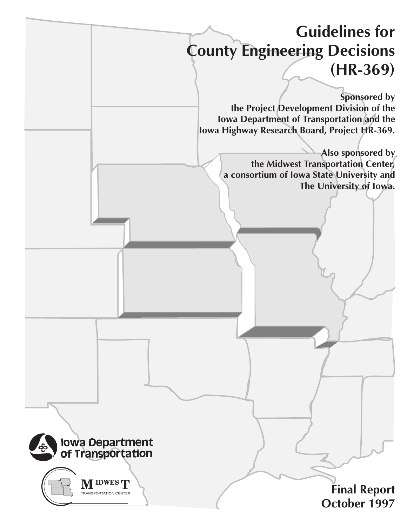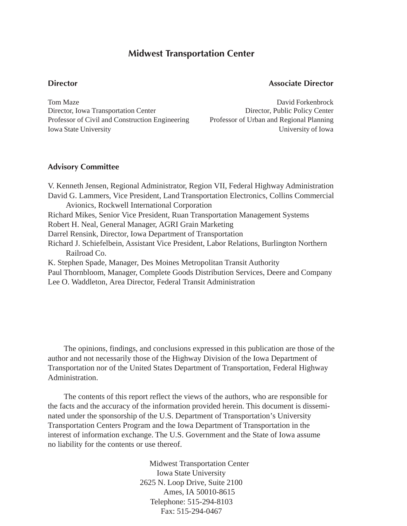## **Midwest Transportation Center**

## **Director Associate Director**

Tom Maze **David Forkenbrock David Forkenbrock** Director, Iowa Transportation Center Director, Public Policy Center Professor of Civil and Construction Engineering Professor of Urban and Regional Planning **Iowa State University Iowa State University of Iowa** 

## **Advisory Committee**

V. Kenneth Jensen, Regional Administrator, Region VII, Federal Highway Administration David G. Lammers, Vice President, Land Transportation Electronics, Collins Commercial Avionics, Rockwell International Corporation Richard Mikes, Senior Vice President, Ruan Transportation Management Systems Robert H. Neal, General Manager, AGRI Grain Marketing Darrel Rensink, Director, Iowa Department of Transportation Richard J. Schiefelbein, Assistant Vice President, Labor Relations, Burlington Northern Railroad Co. K. Stephen Spade, Manager, Des Moines Metropolitan Transit Authority Paul Thornbloom, Manager, Complete Goods Distribution Services, Deere and Company Lee O. Waddleton, Area Director, Federal Transit Administration

The opinions, findings, and conclusions expressed in this publication are those of the author and not necessarily those of the Highway Division of the Iowa Department of Transportation nor of the United States Department of Transportation, Federal Highway Administration.

The contents of this report reflect the views of the authors, who are responsible for the facts and the accuracy of the information provided herein. This document is disseminated under the sponsorship of the U.S. Department of Transportation's University Transportation Centers Program and the Iowa Department of Transportation in the interest of information exchange. The U.S. Government and the State of Iowa assume no liability for the contents or use thereof.

> Midwest Transportation Center Iowa State University 2625 N. Loop Drive, Suite 2100 Ames, IA 50010-8615 Telephone: 515-294-8103 Fax: 515-294-0467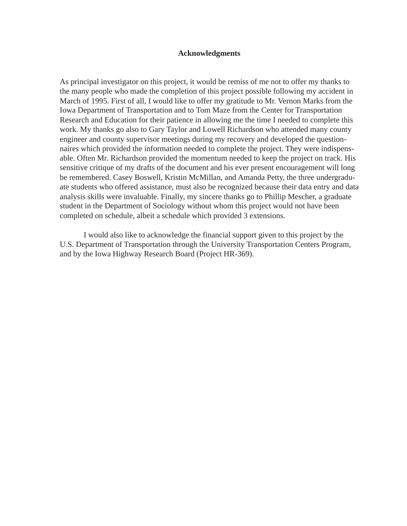## **Acknowledgments**

As principal investigator on this project, it would be remiss of me not to offer my thanks to the many people who made the completion of this project possible following my accident in March of 1995. First of all, I would like to offer my gratitude to Mr. Vernon Marks from the Iowa Department of Transportation and to Tom Maze from the Center for Transportation Research and Education for their patience in allowing me the time I needed to complete this work. My thanks go also to Gary Taylor and Lowell Richardson who attended many county engineer and county supervisor meetings during my recovery and developed the questionnaires which provided the information needed to complete the project. They were indispensable. Often Mr. Richardson provided the momentum needed to keep the project on track. His sensitive critique of my drafts of the document and his ever present encouragement will long be remembered. Casey Boswell, Kristin McMillan, and Amanda Petty, the three undergraduate students who offered assistance, must also be recognized because their data entry and data analysis skills were invaluable. Finally, my sincere thanks go to Phillip Mescher, a graduate student in the Department of Sociology without whom this project would not have been completed on schedule, albeit a schedule which provided 3 extensions.

I would also like to acknowledge the financial support given to this project by the U.S. Department of Transportation through the University Transportation Centers Program, and by the Iowa Highway Research Board (Project HR-369).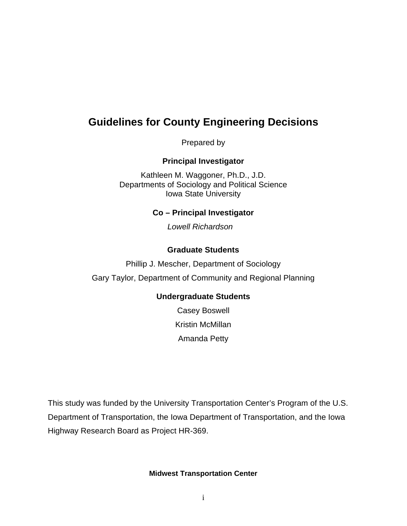# **Guidelines for County Engineering Decisions**

Prepared by

## **Principal Investigator**

Kathleen M. Waggoner, Ph.D., J.D. Departments of Sociology and Political Science Iowa State University

## **Co – Principal Investigator**

Lowell Richardson

## **Graduate Students**

Phillip J. Mescher, Department of Sociology Gary Taylor, Department of Community and Regional Planning

## **Undergraduate Students**

Casey Boswell Kristin McMillan Amanda Petty

This study was funded by the University Transportation Center's Program of the U.S. Department of Transportation, the Iowa Department of Transportation, and the Iowa Highway Research Board as Project HR-369.

## **Midwest Transportation Center**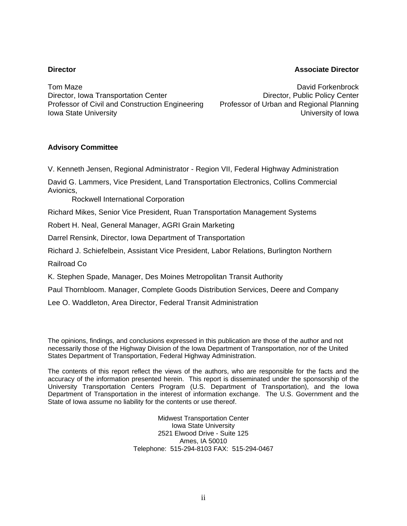## **Director Associate Director**

Tom Maze **David Forkenbrock Community** Formulation of the David Forkenbrock Director, Iowa Transportation Center **Director, Public Policy Center** Director, Public Policy Center Professor of Civil and Construction Engineering Professor of Urban and Regional Planning **Iowa State University Iowa State University** 

## **Advisory Committee**

V. Kenneth Jensen, Regional Administrator - Region VII, Federal Highway Administration

David G. Lammers, Vice President, Land Transportation Electronics, Collins Commercial Avionics,

Rockwell International Corporation

Richard Mikes, Senior Vice President, Ruan Transportation Management Systems

Robert H. Neal, General Manager, AGRI Grain Marketing

Darrel Rensink, Director, Iowa Department of Transportation

Richard J. Schiefelbein, Assistant Vice President, Labor Relations, Burlington Northern

Railroad Co

K. Stephen Spade, Manager, Des Moines Metropolitan Transit Authority

Paul Thornbloom. Manager, Complete Goods Distribution Services, Deere and Company

Lee O. Waddleton, Area Director, Federal Transit Administration

The opinions, findings, and conclusions expressed in this publication are those of the author and not necessarily those of the Highway Division of the Iowa Department of Transportation, nor of the United States Department of Transportation, Federal Highway Administration.

The contents of this report reflect the views of the authors, who are responsible for the facts and the accuracy of the information presented herein. This report is disseminated under the sponsorship of the University Transportation Centers Program (U.S. Department of Transportation), and the Iowa Department of Transportation in the interest of information exchange. The U.S. Government and the State of Iowa assume no liability for the contents or use thereof.

> Midwest Transportation Center Iowa State University 2521 Elwood Drive - Suite 125 Ames, IA 50010 Telephone: 515-294-8103 FAX: 515-294-0467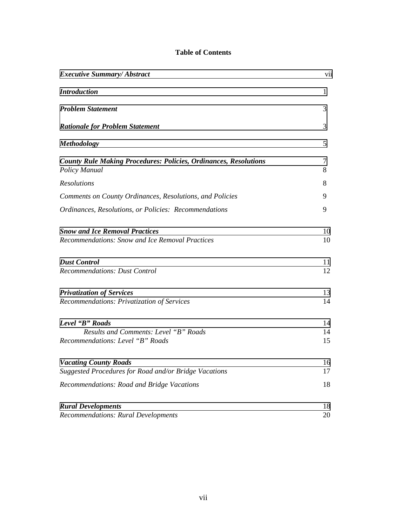## **Table of Contents**

| <b>Executive Summary/ Abstract</b>                                                           |                |  |  |  |
|----------------------------------------------------------------------------------------------|----------------|--|--|--|
| <b>Introduction</b>                                                                          | 1              |  |  |  |
| <b>Problem Statement</b>                                                                     | 3              |  |  |  |
| <b>Rationale for Problem Statement</b>                                                       | 3              |  |  |  |
| <b>Methodology</b>                                                                           | 5              |  |  |  |
| <b>County Rule Making Procedures: Policies, Ordinances, Resolutions</b><br>Policy Manual     | 7<br>8         |  |  |  |
| <b>Resolutions</b>                                                                           | 8              |  |  |  |
| Comments on County Ordinances, Resolutions, and Policies                                     | 9              |  |  |  |
| Ordinances, Resolutions, or Policies: Recommendations                                        | 9              |  |  |  |
| <b>Snow and Ice Removal Practices</b><br>Recommendations: Snow and Ice Removal Practices     | 10<br>10       |  |  |  |
| <b>Dust Control</b><br><b>Recommendations: Dust Control</b>                                  | 11<br>12       |  |  |  |
| <b>Privatization of Services</b><br>Recommendations: Privatization of Services               | 13<br>14       |  |  |  |
| Level "B" Roads<br>Results and Comments: Level "B" Roads<br>Recommendations: Level "B" Roads | 14<br>14<br>15 |  |  |  |
| <b>Vacating County Roads</b><br>Suggested Procedures for Road and/or Bridge Vacations        | 16<br>17       |  |  |  |
| Recommendations: Road and Bridge Vacations                                                   | 18             |  |  |  |
| <b>Rural Developments</b><br><b>Recommendations: Rural Developments</b>                      | 18<br>20       |  |  |  |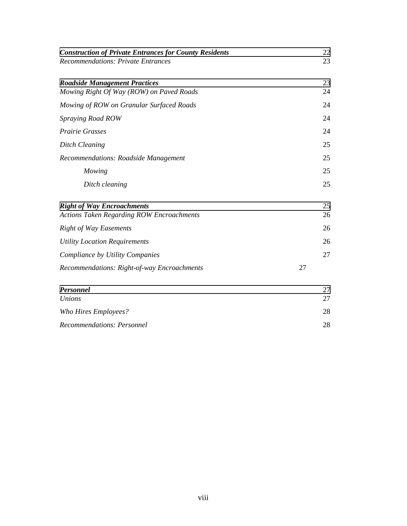| <b>Construction of Private Entrances for County Residents</b><br><b>Recommendations: Private Entrances</b> | 22<br>23 |
|------------------------------------------------------------------------------------------------------------|----------|
| <b>Roadside Management Practices</b><br>Mowing Right Of Way (ROW) on Paved Roads                           | 23<br>24 |
| Mowing of ROW on Granular Surfaced Roads                                                                   | 24       |
| Spraying Road ROW                                                                                          | 24       |
| <b>Prairie Grasses</b>                                                                                     | 24       |
| <b>Ditch Cleaning</b>                                                                                      | 25       |
| Recommendations: Roadside Management                                                                       | 25       |
| Mowing                                                                                                     | 25       |
| Ditch cleaning                                                                                             | 25       |
| <b>Right of Way Encroachments</b><br><b>Actions Taken Regarding ROW Encroachments</b>                      | 25<br>26 |
| <b>Right of Way Easements</b>                                                                              | 26       |
| <b>Utility Location Requirements</b>                                                                       | 26       |
| Compliance by Utility Companies                                                                            | 27       |
| Recommendations: Right-of-way Encroachments                                                                | 27       |
| <b>Personnel</b><br>Unions                                                                                 | 27<br>27 |
| Who Hires Employees?                                                                                       | 28       |
| Recommendations: Personnel                                                                                 | 28       |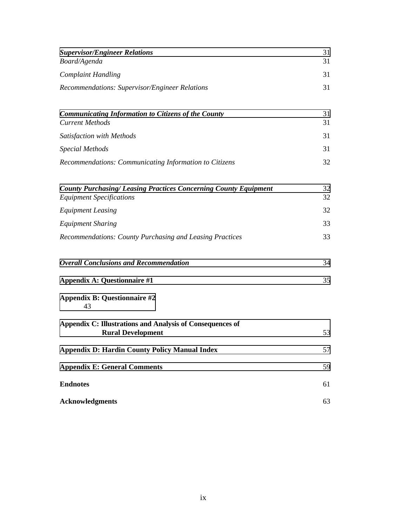| <b>Supervisor/Engineer Relations</b><br>Board/Agenda                                                      | 31<br>31 |
|-----------------------------------------------------------------------------------------------------------|----------|
| <b>Complaint Handling</b>                                                                                 | 31       |
| Recommendations: Supervisor/Engineer Relations                                                            | 31       |
| <b>Communicating Information to Citizens of the County</b><br><b>Current Methods</b>                      | 31<br>31 |
| Satisfaction with Methods                                                                                 | 31       |
| <b>Special Methods</b>                                                                                    | 31       |
| Recommendations: Communicating Information to Citizens                                                    | 32       |
| <b>County Purchasing/Leasing Practices Concerning County Equipment</b><br><b>Equipment Specifications</b> | 32<br>32 |
| <b>Equipment Leasing</b>                                                                                  | 32       |
| <b>Equipment Sharing</b>                                                                                  | 33       |
| Recommendations: County Purchasing and Leasing Practices                                                  | 33       |
| <b>Overall Conclusions and Recommendation</b>                                                             | 34       |
| <b>Appendix A: Questionnaire #1</b>                                                                       | 35       |
| <b>Appendix B: Questionnaire #2</b><br>43                                                                 |          |
| Appendix C: Illustrations and Analysis of Consequences of<br><b>Rural Development</b>                     | 53       |
| <b>Appendix D: Hardin County Policy Manual Index</b>                                                      | 57       |
| <b>Appendix E: General Comments</b>                                                                       | 59       |
| <b>Endnotes</b>                                                                                           | 61       |
| <b>Acknowledgments</b>                                                                                    | 63       |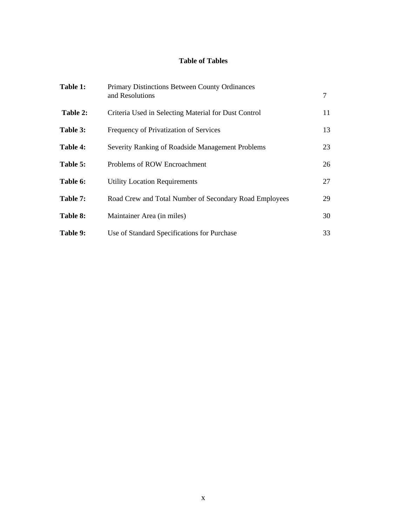## **Table of Tables**

| Table 1: | Primary Distinctions Between County Ordinances<br>and Resolutions | 7  |
|----------|-------------------------------------------------------------------|----|
| Table 2: | Criteria Used in Selecting Material for Dust Control              | 11 |
| Table 3: | Frequency of Privatization of Services                            | 13 |
| Table 4: | Severity Ranking of Roadside Management Problems                  | 23 |
| Table 5: | Problems of ROW Encroachment                                      | 26 |
| Table 6: | <b>Utility Location Requirements</b>                              | 27 |
| Table 7: | Road Crew and Total Number of Secondary Road Employees            | 29 |
| Table 8: | Maintainer Area (in miles)                                        | 30 |
| Table 9: | Use of Standard Specifications for Purchase                       | 33 |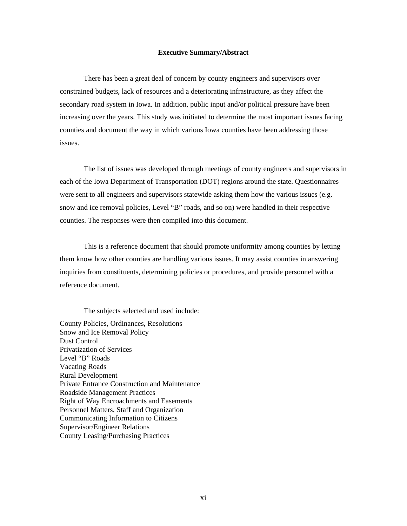#### **Executive Summary/Abstract**

<span id="page-9-0"></span>There has been a great deal of concern by county engineers and supervisors over constrained budgets, lack of resources and a deteriorating infrastructure, as they affect the secondary road system in Iowa. In addition, public input and/or political pressure have been increasing over the years. This study was initiated to determine the most important issues facing counties and document the way in which various Iowa counties have been addressing those issues.

The list of issues was developed through meetings of county engineers and supervisors in each of the Iowa Department of Transportation (DOT) regions around the state. Questionnaires were sent to all engineers and supervisors statewide asking them how the various issues (e.g. snow and ice removal policies, Level "B" roads, and so on) were handled in their respective counties. The responses were then compiled into this document.

This is a reference document that should promote uniformity among counties by letting them know how other counties are handling various issues. It may assist counties in answering inquiries from constituents, determining policies or procedures, and provide personnel with a reference document.

The subjects selected and used include:

County Policies, Ordinances, Resolutions Snow and Ice Removal Policy Dust Control Privatization of Services Level "B" Roads Vacating Roads Rural Development Private Entrance Construction and Maintenance Roadside Management Practices Right of Way Encroachments and Easements Personnel Matters, Staff and Organization Communicating Information to Citizens Supervisor/Engineer Relations County Leasing/Purchasing Practices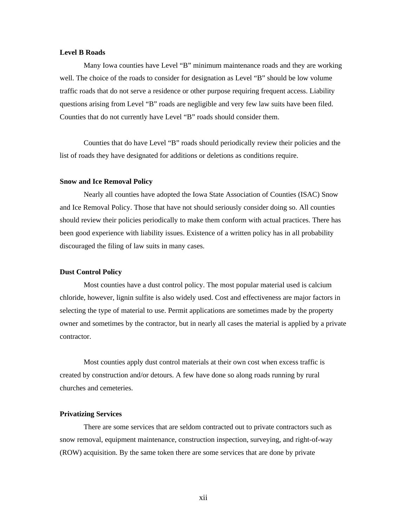#### **Level B Roads**

Many Iowa counties have Level "B" minimum maintenance roads and they are working well. The choice of the roads to consider for designation as Level "B" should be low volume traffic roads that do not serve a residence or other purpose requiring frequent access. Liability questions arising from Level "B" roads are negligible and very few law suits have been filed. Counties that do not currently have Level "B" roads should consider them.

Counties that do have Level "B" roads should periodically review their policies and the list of roads they have designated for additions or deletions as conditions require.

#### **Snow and Ice Removal Policy**

Nearly all counties have adopted the Iowa State Association of Counties (ISAC) Snow and Ice Removal Policy. Those that have not should seriously consider doing so. All counties should review their policies periodically to make them conform with actual practices. There has been good experience with liability issues. Existence of a written policy has in all probability discouraged the filing of law suits in many cases.

#### **Dust Control Policy**

Most counties have a dust control policy. The most popular material used is calcium chloride, however, lignin sulfite is also widely used. Cost and effectiveness are major factors in selecting the type of material to use. Permit applications are sometimes made by the property owner and sometimes by the contractor, but in nearly all cases the material is applied by a private contractor.

Most counties apply dust control materials at their own cost when excess traffic is created by construction and/or detours. A few have done so along roads running by rural churches and cemeteries.

### **Privatizing Services**

There are some services that are seldom contracted out to private contractors such as snow removal, equipment maintenance, construction inspection, surveying, and right-of-way (ROW) acquisition. By the same token there are some services that are done by private

xii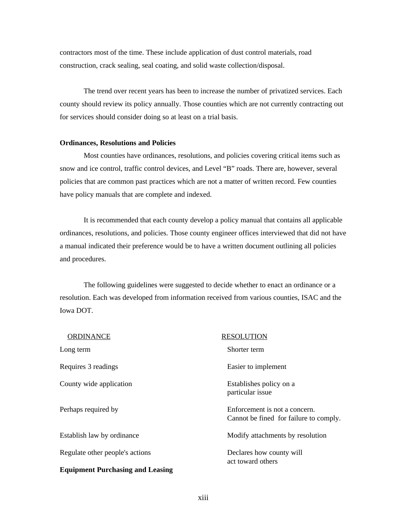contractors most of the time. These include application of dust control materials, road construction, crack sealing, seal coating, and solid waste collection/disposal.

The trend over recent years has been to increase the number of privatized services. Each county should review its policy annually. Those counties which are not currently contracting out for services should consider doing so at least on a trial basis.

#### **Ordinances, Resolutions and Policies**

Most counties have ordinances, resolutions, and policies covering critical items such as snow and ice control, traffic control devices, and Level "B" roads. There are, however, several policies that are common past practices which are not a matter of written record. Few counties have policy manuals that are complete and indexed.

It is recommended that each county develop a policy manual that contains all applicable ordinances, resolutions, and policies. Those county engineer offices interviewed that did not have a manual indicated their preference would be to have a written document outlining all policies and procedures.

The following guidelines were suggested to decide whether to enact an ordinance or a resolution. Each was developed from information received from various counties, ISAC and the Iowa DOT.

| <b>ORDINANCE</b>                        | <b>RESOLUTION</b>                                                       |
|-----------------------------------------|-------------------------------------------------------------------------|
| Long term                               | Shorter term                                                            |
| Requires 3 readings                     | Easier to implement                                                     |
| County wide application                 | Establishes policy on a<br>particular issue                             |
| Perhaps required by                     | Enforcement is not a concern.<br>Cannot be fined for failure to comply. |
| Establish law by ordinance              | Modify attachments by resolution                                        |
| Regulate other people's actions         | Declares how county will<br>act toward others                           |
| <b>Equipment Purchasing and Leasing</b> |                                                                         |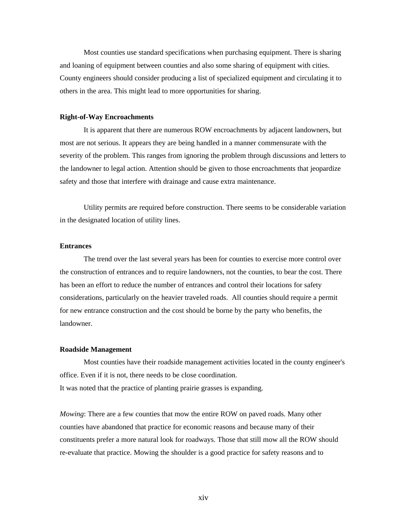Most counties use standard specifications when purchasing equipment. There is sharing and loaning of equipment between counties and also some sharing of equipment with cities. County engineers should consider producing a list of specialized equipment and circulating it to others in the area. This might lead to more opportunities for sharing.

#### **Right-of-Way Encroachments**

It is apparent that there are numerous ROW encroachments by adjacent landowners, but most are not serious. It appears they are being handled in a manner commensurate with the severity of the problem. This ranges from ignoring the problem through discussions and letters to the landowner to legal action. Attention should be given to those encroachments that jeopardize safety and those that interfere with drainage and cause extra maintenance.

Utility permits are required before construction. There seems to be considerable variation in the designated location of utility lines.

## **Entrances**

The trend over the last several years has been for counties to exercise more control over the construction of entrances and to require landowners, not the counties, to bear the cost. There has been an effort to reduce the number of entrances and control their locations for safety considerations, particularly on the heavier traveled roads. All counties should require a permit for new entrance construction and the cost should be borne by the party who benefits, the landowner.

### **Roadside Management**

Most counties have their roadside management activities located in the county engineer's office. Even if it is not, there needs to be close coordination. It was noted that the practice of planting prairie grasses is expanding.

*Mowing*: There are a few counties that mow the entire ROW on paved roads. Many other counties have abandoned that practice for economic reasons and because many of their constituents prefer a more natural look for roadways. Those that still mow all the ROW should re-evaluate that practice. Mowing the shoulder is a good practice for safety reasons and to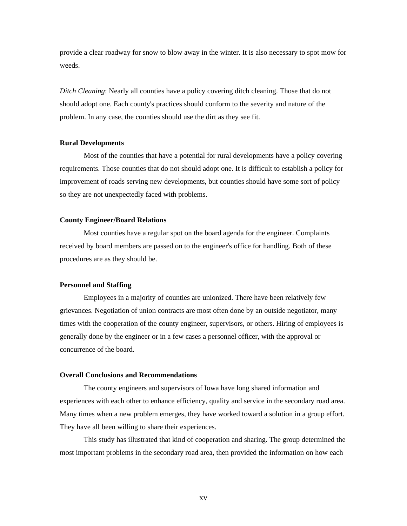provide a clear roadway for snow to blow away in the winter. It is also necessary to spot mow for weeds.

*Ditch Cleaning*: Nearly all counties have a policy covering ditch cleaning. Those that do not should adopt one. Each county's practices should conform to the severity and nature of the problem. In any case, the counties should use the dirt as they see fit.

#### **Rural Developments**

Most of the counties that have a potential for rural developments have a policy covering requirements. Those counties that do not should adopt one. It is difficult to establish a policy for improvement of roads serving new developments, but counties should have some sort of policy so they are not unexpectedly faced with problems.

#### **County Engineer/Board Relations**

Most counties have a regular spot on the board agenda for the engineer. Complaints received by board members are passed on to the engineer's office for handling. Both of these procedures are as they should be.

## **Personnel and Staffing**

Employees in a majority of counties are unionized. There have been relatively few grievances. Negotiation of union contracts are most often done by an outside negotiator, many times with the cooperation of the county engineer, supervisors, or others. Hiring of employees is generally done by the engineer or in a few cases a personnel officer, with the approval or concurrence of the board.

#### **Overall Conclusions and Recommendations**

The county engineers and supervisors of Iowa have long shared information and experiences with each other to enhance efficiency, quality and service in the secondary road area. Many times when a new problem emerges, they have worked toward a solution in a group effort. They have all been willing to share their experiences.

This study has illustrated that kind of cooperation and sharing. The group determined the most important problems in the secondary road area, then provided the information on how each

xv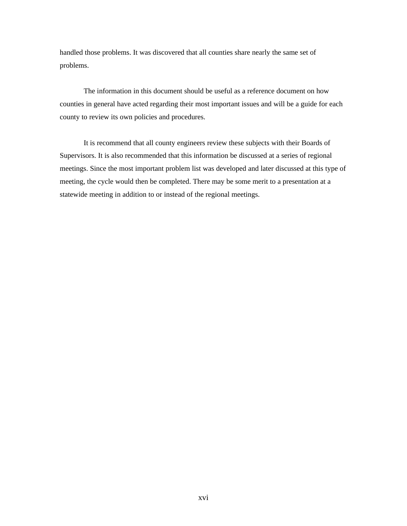handled those problems. It was discovered that all counties share nearly the same set of problems.

The information in this document should be useful as a reference document on how counties in general have acted regarding their most important issues and will be a guide for each county to review its own policies and procedures.

It is recommend that all county engineers review these subjects with their Boards of Supervisors. It is also recommended that this information be discussed at a series of regional meetings. Since the most important problem list was developed and later discussed at this type of meeting, the cycle would then be completed. There may be some merit to a presentation at a statewide meeting in addition to or instead of the regional meetings.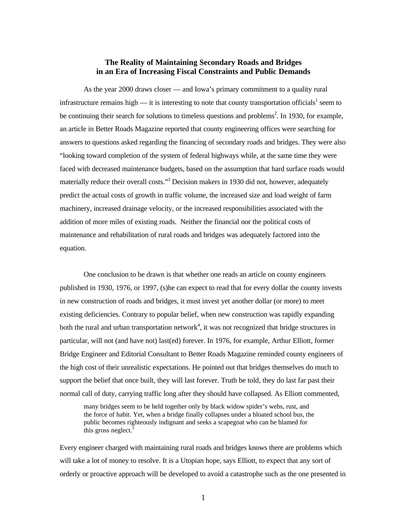## **The Reality of Maintaining Secondary Roads and Bridges in an Era of Increasing Fiscal Constraints and Public Demands**

<span id="page-15-0"></span>As the year 2000 draws closer — and Iowa's primary commitment to a quality rural infrastructure remains high  $-$  it is interesting to note that county transportation officials<sup>1</sup> seem to be continuing their search for solutions to timeless questions and problems<sup>2</sup>. In 1930, for example, an article in Better Roads Magazine reported that county engineering offices were searching for answers to questions asked regarding the financing of secondary roads and bridges. They were also "looking toward completion of the system of federal highways while, at the same time they were faced with decreased maintenance budgets, based on the assumption that hard surface roads would materially reduce their overall costs."<sup>3</sup> Decision makers in 1930 did not, however, adequately predict the actual costs of growth in traffic volume, the increased size and load weight of farm machinery, increased drainage velocity, or the increased responsibilities associated with the addition of more miles of existing roads. Neither the financial nor the political costs of maintenance and rehabilitation of rural roads and bridges was adequately factored into the equation.

One conclusion to be drawn is that whether one reads an article on county engineers published in 1930, 1976, or 1997, (s)he can expect to read that for every dollar the county invests in new construction of roads and bridges, it must invest yet another dollar (or more) to meet existing deficiencies. Contrary to popular belief, when new construction was rapidly expanding both the rural and urban transportation network<sup>4</sup>, it was not recognized that bridge structures in particular, will not (and have not) last(ed) forever. In 1976, for example, Arthur Elliott, former Bridge Engineer and Editorial Consultant to Better Roads Magazine reminded county engineers of the high cost of their unrealistic expectations. He pointed out that bridges themselves do much to support the belief that once built, they will last forever. Truth be told, they do last far past their normal call of duty, carrying traffic long after they should have collapsed. As Elliott commented,

many bridges seem to be held together only by black widow spider's webs, rust, and the force of habit. Yet, when a bridge finally collapses under a bloated school bus, the public becomes righteously indignant and seeks a scapegoat who can be blamed for this gross neglect.<sup>5</sup>

Every engineer charged with maintaining rural roads and bridges knows there are problems which will take a lot of money to resolve. It is a Utopian hope, says Elliott, to expect that any sort of orderly or proactive approach will be developed to avoid a catastrophe such as the one presented in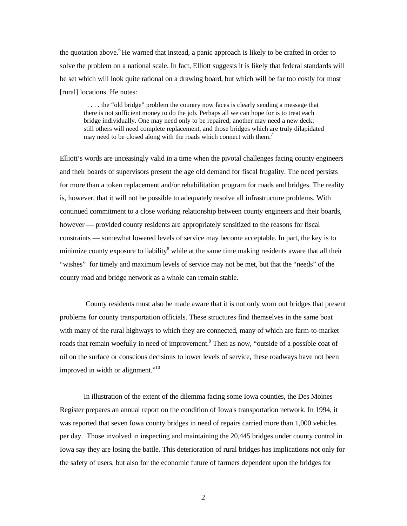the quotation above.<sup>6</sup>He warned that instead, a panic approach is likely to be crafted in order to solve the problem on a national scale. In fact, Elliott suggests it is likely that federal standards will be set which will look quite rational on a drawing board, but which will be far too costly for most [rural] locations. He notes:

 . . . . the "old bridge" problem the country now faces is clearly sending a message that there is not sufficient money to do the job. Perhaps all we can hope for is to treat each bridge individually. One may need only to be repaired; another may need a new deck; still others will need complete replacement, and those bridges which are truly dilapidated may need to be closed along with the roads which connect with them.<sup>7</sup>

Elliott's words are unceasingly valid in a time when the pivotal challenges facing county engineers and their boards of supervisors present the age old demand for fiscal frugality. The need persists for more than a token replacement and/or rehabilitation program for roads and bridges. The reality is, however, that it will not be possible to adequately resolve all infrastructure problems. With continued commitment to a close working relationship between county engineers and their boards, however — provided county residents are appropriately sensitized to the reasons for fiscal constraints — somewhat lowered levels of service may become acceptable. In part, the key is to minimize county exposure to liability<sup>8</sup> while at the same time making residents aware that all their "wishes" for timely and maximum levels of service may not be met, but that the "needs" of the county road and bridge network as a whole can remain stable.

 County residents must also be made aware that it is not only worn out bridges that present problems for county transportation officials. These structures find themselves in the same boat with many of the rural highways to which they are connected, many of which are farm-to-market roads that remain woefully in need of improvement.<sup>9</sup> Then as now, "outside of a possible coat of oil on the surface or conscious decisions to lower levels of service, these roadways have not been improved in width or alignment."<sup>10</sup>

In illustration of the extent of the dilemma facing some Iowa counties, the Des Moines Register prepares an annual report on the condition of Iowa's transportation network. In 1994, it was reported that seven Iowa county bridges in need of repairs carried more than 1,000 vehicles per day. Those involved in inspecting and maintaining the 20,445 bridges under county control in Iowa say they are losing the battle. This deterioration of rural bridges has implications not only for the safety of users, but also for the economic future of farmers dependent upon the bridges for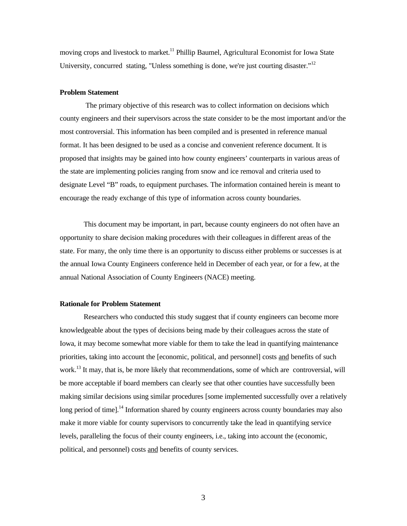<span id="page-17-0"></span>moving crops and livestock to market.<sup>11</sup> Phillip Baumel, Agricultural Economist for Iowa State University, concurred stating, "Unless something is done, we're just courting disaster."<sup>12</sup>

## **Problem Statement**

 The primary objective of this research was to collect information on decisions which county engineers and their supervisors across the state consider to be the most important and/or the most controversial. This information has been compiled and is presented in reference manual format. It has been designed to be used as a concise and convenient reference document. It is proposed that insights may be gained into how county engineers' counterparts in various areas of the state are implementing policies ranging from snow and ice removal and criteria used to designate Level "B" roads, to equipment purchases. The information contained herein is meant to encourage the ready exchange of this type of information across county boundaries.

This document may be important, in part, because county engineers do not often have an opportunity to share decision making procedures with their colleagues in different areas of the state. For many, the only time there is an opportunity to discuss either problems or successes is at the annual Iowa County Engineers conference held in December of each year, or for a few, at the annual National Association of County Engineers (NACE) meeting.

#### **Rationale for Problem Statement**

Researchers who conducted this study suggest that if county engineers can become more knowledgeable about the types of decisions being made by their colleagues across the state of Iowa, it may become somewhat more viable for them to take the lead in quantifying maintenance priorities, taking into account the [economic, political, and personnel] costs and benefits of such work.<sup>13</sup> It may, that is, be more likely that recommendations, some of which are controversial, will be more acceptable if board members can clearly see that other counties have successfully been making similar decisions using similar procedures [some implemented successfully over a relatively long period of time].<sup>14</sup> Information shared by county engineers across county boundaries may also make it more viable for county supervisors to concurrently take the lead in quantifying service levels, paralleling the focus of their county engineers, i.e., taking into account the (economic, political, and personnel) costs and benefits of county services.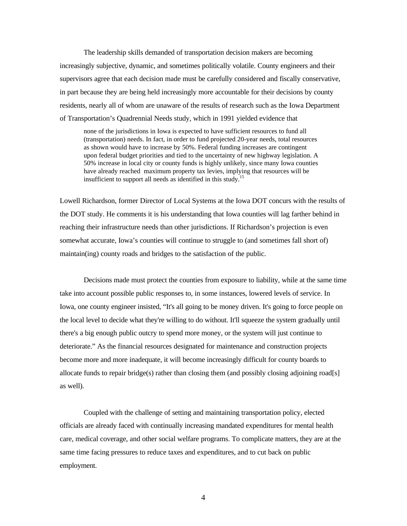The leadership skills demanded of transportation decision makers are becoming increasingly subjective, dynamic, and sometimes politically volatile. County engineers and their supervisors agree that each decision made must be carefully considered and fiscally conservative, in part because they are being held increasingly more accountable for their decisions by county residents, nearly all of whom are unaware of the results of research such as the Iowa Department of Transportation's Quadrennial Needs study, which in 1991 yielded evidence that

none of the jurisdictions in Iowa is expected to have sufficient resources to fund all (transportation) needs. In fact, in order to fund projected 20-year needs, total resources as shown would have to increase by 50%. Federal funding increases are contingent upon federal budget priorities and tied to the uncertainty of new highway legislation. A 50% increase in local city or county funds is highly unlikely, since many Iowa counties have already reached maximum property tax levies, implying that resources will be insufficient to support all needs as identified in this study.<sup>15</sup>

Lowell Richardson, former Director of Local Systems at the Iowa DOT concurs with the results of the DOT study. He comments it is his understanding that Iowa counties will lag farther behind in reaching their infrastructure needs than other jurisdictions. If Richardson's projection is even somewhat accurate, Iowa's counties will continue to struggle to (and sometimes fall short of) maintain(ing) county roads and bridges to the satisfaction of the public.

Decisions made must protect the counties from exposure to liability, while at the same time take into account possible public responses to, in some instances, lowered levels of service. In Iowa, one county engineer insisted, "It's all going to be money driven. It's going to force people on the local level to decide what they're willing to do without. It'll squeeze the system gradually until there's a big enough public outcry to spend more money, or the system will just continue to deteriorate." As the financial resources designated for maintenance and construction projects become more and more inadequate, it will become increasingly difficult for county boards to allocate funds to repair bridge(s) rather than closing them (and possibly closing adjoining road[s] as well).

Coupled with the challenge of setting and maintaining transportation policy, elected officials are already faced with continually increasing mandated expenditures for mental health care, medical coverage, and other social welfare programs. To complicate matters, they are at the same time facing pressures to reduce taxes and expenditures, and to cut back on public employment.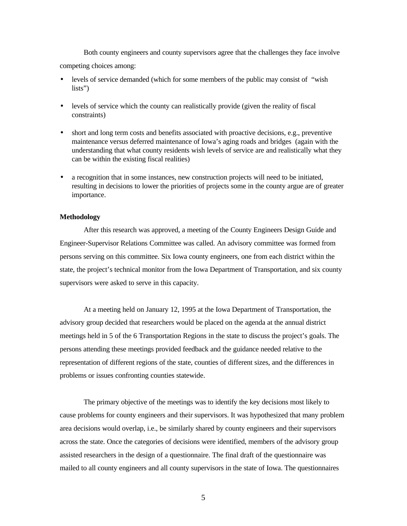<span id="page-19-0"></span>Both county engineers and county supervisors agree that the challenges they face involve competing choices among:

- levels of service demanded (which for some members of the public may consist of "wish" lists")
- levels of service which the county can realistically provide (given the reality of fiscal constraints)
- short and long term costs and benefits associated with proactive decisions, e.g., preventive maintenance versus deferred maintenance of Iowa's aging roads and bridges (again with the understanding that what county residents wish levels of service are and realistically what they can be within the existing fiscal realities)
- a recognition that in some instances, new construction projects will need to be initiated, resulting in decisions to lower the priorities of projects some in the county argue are of greater importance.

## **Methodology**

After this research was approved, a meeting of the County Engineers Design Guide and Engineer-Supervisor Relations Committee was called. An advisory committee was formed from persons serving on this committee. Six Iowa county engineers, one from each district within the state, the project's technical monitor from the Iowa Department of Transportation, and six county supervisors were asked to serve in this capacity.

At a meeting held on January 12, 1995 at the Iowa Department of Transportation, the advisory group decided that researchers would be placed on the agenda at the annual district meetings held in 5 of the 6 Transportation Regions in the state to discuss the project's goals. The persons attending these meetings provided feedback and the guidance needed relative to the representation of different regions of the state, counties of different sizes, and the differences in problems or issues confronting counties statewide.

The primary objective of the meetings was to identify the key decisions most likely to cause problems for county engineers and their supervisors. It was hypothesized that many problem area decisions would overlap, i.e., be similarly shared by county engineers and their supervisors across the state. Once the categories of decisions were identified, members of the advisory group assisted researchers in the design of a questionnaire. The final draft of the questionnaire was mailed to all county engineers and all county supervisors in the state of Iowa. The questionnaires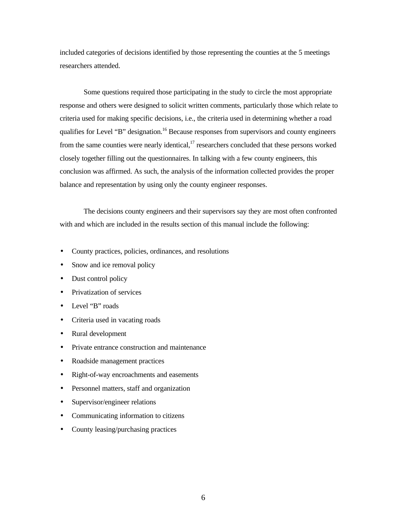included categories of decisions identified by those representing the counties at the 5 meetings researchers attended.

Some questions required those participating in the study to circle the most appropriate response and others were designed to solicit written comments, particularly those which relate to criteria used for making specific decisions, i.e., the criteria used in determining whether a road qualifies for Level "B" designation.<sup>16</sup> Because responses from supervisors and county engineers from the same counties were nearly identical, $^{17}$  researchers concluded that these persons worked closely together filling out the questionnaires. In talking with a few county engineers, this conclusion was affirmed. As such, the analysis of the information collected provides the proper balance and representation by using only the county engineer responses.

The decisions county engineers and their supervisors say they are most often confronted with and which are included in the results section of this manual include the following:

- County practices, policies, ordinances, and resolutions
- Snow and ice removal policy
- Dust control policy
- Privatization of services
- Level "B" roads
- Criteria used in vacating roads
- Rural development
- Private entrance construction and maintenance
- Roadside management practices
- Right-of-way encroachments and easements
- Personnel matters, staff and organization
- Supervisor/engineer relations
- Communicating information to citizens
- County leasing/purchasing practices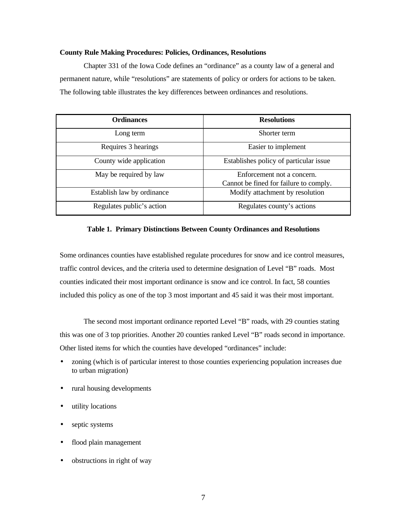#### <span id="page-21-0"></span>**County Rule Making Procedures: Policies, Ordinances, Resolutions**

Chapter 331 of the Iowa Code defines an "ordinance" as a county law of a general and permanent nature, while "resolutions" are statements of policy or orders for actions to be taken. The following table illustrates the key differences between ordinances and resolutions.

| <b>Ordinances</b>          | <b>Resolutions</b>                                                   |
|----------------------------|----------------------------------------------------------------------|
| Long term                  | Shorter term                                                         |
| Requires 3 hearings        | Easier to implement                                                  |
| County wide application    | Establishes policy of particular issue                               |
| May be required by law     | Enforcement not a concern.<br>Cannot be fined for failure to comply. |
| Establish law by ordinance | Modify attachment by resolution                                      |
| Regulates public's action  | Regulates county's actions                                           |

#### **Table 1. Primary Distinctions Between County Ordinances and Resolutions**

Some ordinances counties have established regulate procedures for snow and ice control measures, traffic control devices, and the criteria used to determine designation of Level "B" roads. Most counties indicated their most important ordinance is snow and ice control. In fact, 58 counties included this policy as one of the top 3 most important and 45 said it was their most important.

The second most important ordinance reported Level "B" roads, with 29 counties stating this was one of 3 top priorities. Another 20 counties ranked Level "B" roads second in importance. Other listed items for which the counties have developed "ordinances" include:

- zoning (which is of particular interest to those counties experiencing population increases due to urban migration)
- rural housing developments
- utility locations
- septic systems
- flood plain management
- obstructions in right of way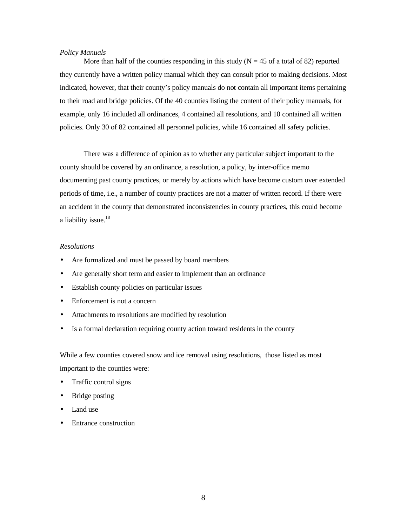### *Policy Manuals*

More than half of the counties responding in this study ( $N = 45$  of a total of 82) reported they currently have a written policy manual which they can consult prior to making decisions. Most indicated, however, that their county's policy manuals do not contain all important items pertaining to their road and bridge policies. Of the 40 counties listing the content of their policy manuals, for example, only 16 included all ordinances, 4 contained all resolutions, and 10 contained all written policies. Only 30 of 82 contained all personnel policies, while 16 contained all safety policies.

There was a difference of opinion as to whether any particular subject important to the county should be covered by an ordinance, a resolution, a policy, by inter-office memo documenting past county practices, or merely by actions which have become custom over extended periods of time, i.e., a number of county practices are not a matter of written record. If there were an accident in the county that demonstrated inconsistencies in county practices, this could become a liability issue.<sup>18</sup>

### *Resolutions*

- Are formalized and must be passed by board members
- Are generally short term and easier to implement than an ordinance
- Establish county policies on particular issues
- Enforcement is not a concern
- Attachments to resolutions are modified by resolution
- Is a formal declaration requiring county action toward residents in the county

While a few counties covered snow and ice removal using resolutions, those listed as most important to the counties were:

- Traffic control signs
- Bridge posting
- Land use
- Entrance construction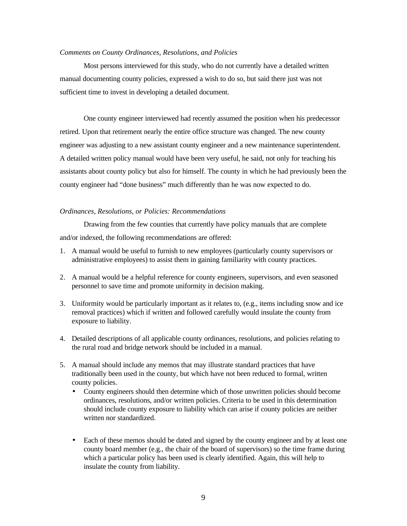#### *Comments on County Ordinances, Resolutions, and Policies*

Most persons interviewed for this study, who do not currently have a detailed written manual documenting county policies, expressed a wish to do so, but said there just was not sufficient time to invest in developing a detailed document.

One county engineer interviewed had recently assumed the position when his predecessor retired. Upon that retirement nearly the entire office structure was changed. The new county engineer was adjusting to a new assistant county engineer and a new maintenance superintendent. A detailed written policy manual would have been very useful, he said, not only for teaching his assistants about county policy but also for himself. The county in which he had previously been the county engineer had "done business" much differently than he was now expected to do.

## *Ordinances, Resolutions, or Policies: Recommendations*

Drawing from the few counties that currently have policy manuals that are complete and/or indexed, the following recommendations are offered:

- 1. A manual would be useful to furnish to new employees (particularly county supervisors or administrative employees) to assist them in gaining familiarity with county practices.
- 2. A manual would be a helpful reference for county engineers, supervisors, and even seasoned personnel to save time and promote uniformity in decision making.
- 3. Uniformity would be particularly important as it relates to, (e.g., items including snow and ice removal practices) which if written and followed carefully would insulate the county from exposure to liability.
- 4. Detailed descriptions of all applicable county ordinances, resolutions, and policies relating to the rural road and bridge network should be included in a manual.
- 5. A manual should include any memos that may illustrate standard practices that have traditionally been used in the county, but which have not been reduced to formal, written county policies.
	- County engineers should then determine which of those unwritten policies should become ordinances, resolutions, and/or written policies. Criteria to be used in this determination should include county exposure to liability which can arise if county policies are neither written nor standardized.
	- Each of these memos should be dated and signed by the county engineer and by at least one county board member (e.g., the chair of the board of supervisors) so the time frame during which a particular policy has been used is clearly identified. Again, this will help to insulate the county from liability.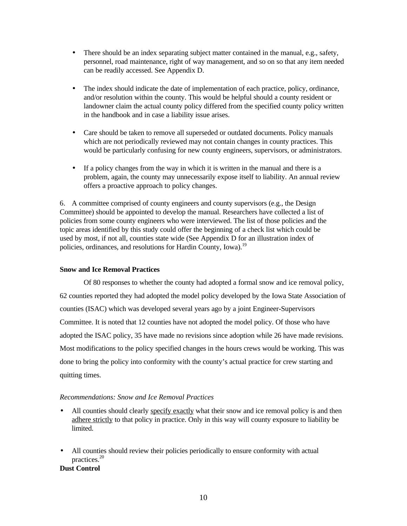- <span id="page-24-0"></span>• There should be an index separating subject matter contained in the manual, e.g., safety, personnel, road maintenance, right of way management, and so on so that any item needed can be readily accessed. See Appendix D.
- The index should indicate the date of implementation of each practice, policy, ordinance, and/or resolution within the county. This would be helpful should a county resident or landowner claim the actual county policy differed from the specified county policy written in the handbook and in case a liability issue arises.
- Care should be taken to remove all superseded or outdated documents. Policy manuals which are not periodically reviewed may not contain changes in county practices. This would be particularly confusing for new county engineers, supervisors, or administrators.
- If a policy changes from the way in which it is written in the manual and there is a problem, again, the county may unnecessarily expose itself to liability. An annual review offers a proactive approach to policy changes.

6. A committee comprised of county engineers and county supervisors (e.g., the Design Committee) should be appointed to develop the manual. Researchers have collected a list of policies from some county engineers who were interviewed. The list of those policies and the topic areas identified by this study could offer the beginning of a check list which could be used by most, if not all, counties state wide (See Appendix D for an illustration index of policies, ordinances, and resolutions for Hardin County, Iowa).<sup>19</sup>

## **Snow and Ice Removal Practices**

Of 80 responses to whether the county had adopted a formal snow and ice removal policy, 62 counties reported they had adopted the model policy developed by the Iowa State Association of counties (ISAC) which was developed several years ago by a joint Engineer-Supervisors Committee. It is noted that 12 counties have not adopted the model policy. Of those who have adopted the ISAC policy, 35 have made no revisions since adoption while 26 have made revisions. Most modifications to the policy specified changes in the hours crews would be working. This was done to bring the policy into conformity with the county's actual practice for crew starting and quitting times.

## *Recommendations: Snow and Ice Removal Practices*

- All counties should clearly specify exactly what their snow and ice removal policy is and then adhere strictly to that policy in practice. Only in this way will county exposure to liability be limited.
- All counties should review their policies periodically to ensure conformity with actual practices.<sup>20</sup>

## **Dust Control**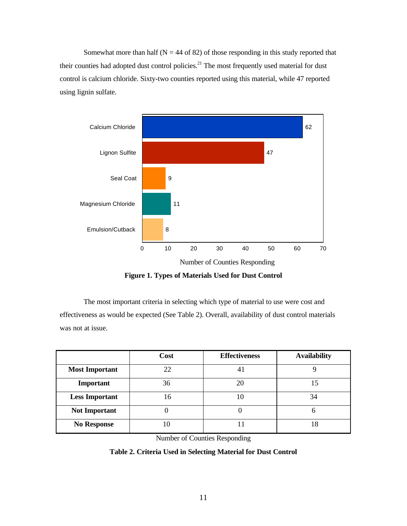<span id="page-25-0"></span>Somewhat more than half ( $N = 44$  of 82) of those responding in this study reported that their counties had adopted dust control policies.<sup>21</sup> The most frequently used material for dust control is calcium chloride. Sixty-two counties reported using this material, while 47 reported using lignin sulfate.



**Figure 1. Types of Materials Used for Dust Control**

The most important criteria in selecting which type of material to use were cost and effectiveness as would be expected (See Table 2). Overall, availability of dust control materials was not at issue.

|                       | Cost | <b>Effectiveness</b> | <b>Availability</b> |
|-----------------------|------|----------------------|---------------------|
| <b>Most Important</b> | 22   | 4.                   |                     |
| Important             | 36   | 20                   | 15                  |
| <b>Less Important</b> | 16   | 10                   | 34                  |
| <b>Not Important</b>  |      |                      | 6                   |
| <b>No Response</b>    | 10   |                      | 18                  |

Number of Counties Responding

## **Table 2. Criteria Used in Selecting Material for Dust Control**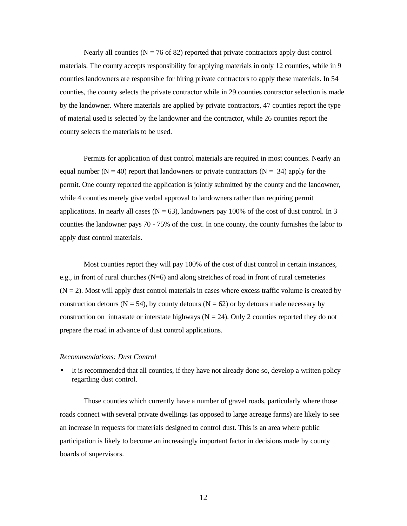Nearly all counties ( $N = 76$  of 82) reported that private contractors apply dust control materials. The county accepts responsibility for applying materials in only 12 counties, while in 9 counties landowners are responsible for hiring private contractors to apply these materials. In 54 counties, the county selects the private contractor while in 29 counties contractor selection is made by the landowner. Where materials are applied by private contractors, 47 counties report the type of material used is selected by the landowner and the contractor, while 26 counties report the county selects the materials to be used.

Permits for application of dust control materials are required in most counties. Nearly an equal number ( $N = 40$ ) report that landowners or private contractors ( $N = 34$ ) apply for the permit. One county reported the application is jointly submitted by the county and the landowner, while 4 counties merely give verbal approval to landowners rather than requiring permit applications. In nearly all cases ( $N = 63$ ), landowners pay 100% of the cost of dust control. In 3 counties the landowner pays 70 - 75% of the cost. In one county, the county furnishes the labor to apply dust control materials.

Most counties report they will pay 100% of the cost of dust control in certain instances, e.g., in front of rural churches (N=6) and along stretches of road in front of rural cemeteries  $(N = 2)$ . Most will apply dust control materials in cases where excess traffic volume is created by construction detours ( $N = 54$ ), by county detours ( $N = 62$ ) or by detours made necessary by construction on intrastate or interstate highways ( $N = 24$ ). Only 2 counties reported they do not prepare the road in advance of dust control applications.

#### *Recommendations: Dust Control*

It is recommended that all counties, if they have not already done so, develop a written policy regarding dust control.

Those counties which currently have a number of gravel roads, particularly where those roads connect with several private dwellings (as opposed to large acreage farms) are likely to see an increase in requests for materials designed to control dust. This is an area where public participation is likely to become an increasingly important factor in decisions made by county boards of supervisors.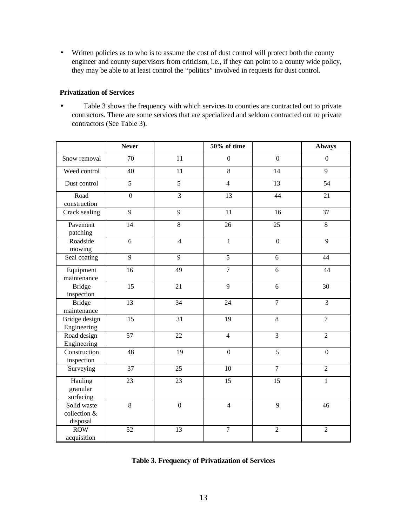<span id="page-27-0"></span>• Written policies as to who is to assume the cost of dust control will protect both the county engineer and county supervisors from criticism, i.e., if they can point to a county wide policy, they may be able to at least control the "politics" involved in requests for dust control.

## **Privatization of Services**

• Table 3 shows the frequency with which services to counties are contracted out to private contractors. There are some services that are specialized and seldom contracted out to private contractors (See Table 3).

|                                         | <b>Never</b>    |                  | 50% of time      |                  | <b>Always</b>    |
|-----------------------------------------|-----------------|------------------|------------------|------------------|------------------|
| Snow removal                            | 70              | 11               | $\overline{0}$   | $\overline{0}$   | $\overline{0}$   |
| Weed control                            | 40              | 11               | 8                | 14               | 9                |
| Dust control                            | $\overline{5}$  | $\overline{5}$   | $\overline{4}$   | 13               | 54               |
| Road<br>construction                    | $\overline{0}$  | $\overline{3}$   | 13               | 44               | 21               |
| Crack sealing                           | $\overline{9}$  | $\overline{9}$   | 11               | 16               | 37               |
| Pavement<br>patching                    | $\overline{14}$ | $\overline{8}$   | 26               | 25               | 8                |
| Roadside<br>mowing                      | 6               | $\overline{4}$   | $\mathbf{1}$     | $\boldsymbol{0}$ | 9                |
| Seal coating                            | $\overline{9}$  | $\overline{9}$   | $\overline{5}$   | 6                | 44               |
| Equipment<br>maintenance                | $\overline{16}$ | 49               | $\overline{7}$   | $\overline{6}$   | 44               |
| <b>Bridge</b><br>inspection             | 15              | 21               | 9                | 6                | 30               |
| <b>Bridge</b><br>maintenance            | 13              | 34               | 24               | $\boldsymbol{7}$ | $\overline{3}$   |
| Bridge design<br>Engineering            | 15              | 31               | 19               | 8                | $\overline{7}$   |
| Road design<br>Engineering              | 57              | 22               | $\overline{4}$   | 3                | $\overline{2}$   |
| Construction<br>inspection              | 48              | 19               | $\boldsymbol{0}$ | 5                | $\boldsymbol{0}$ |
| Surveying                               | 37              | 25               | 10               | $\overline{7}$   | $\overline{2}$   |
| Hauling<br>granular<br>surfacing        | 23              | 23               | 15               | 15               | $\mathbf{1}$     |
| Solid waste<br>collection &<br>disposal | $\,8\,$         | $\boldsymbol{0}$ | $\overline{4}$   | 9                | 46               |
| <b>ROW</b><br>acquisition               | 52              | 13               | $\overline{7}$   | $\overline{c}$   | $\overline{2}$   |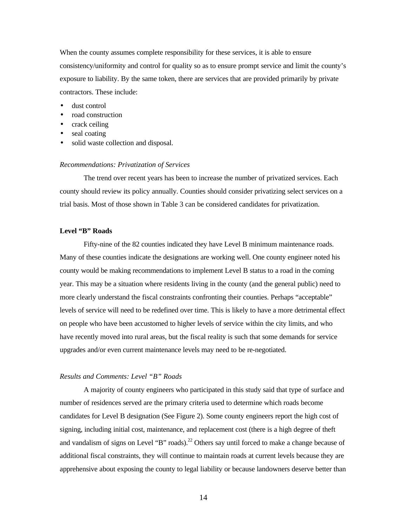<span id="page-28-0"></span>When the county assumes complete responsibility for these services, it is able to ensure consistency/uniformity and control for quality so as to ensure prompt service and limit the county's exposure to liability. By the same token, there are services that are provided primarily by private contractors. These include:

- dust control
- road construction
- crack ceiling
- seal coating
- solid waste collection and disposal.

#### *Recommendations: Privatization of Services*

The trend over recent years has been to increase the number of privatized services. Each county should review its policy annually. Counties should consider privatizing select services on a trial basis. Most of those shown in Table 3 can be considered candidates for privatization.

## **Level "B" Roads**

Fifty-nine of the 82 counties indicated they have Level B minimum maintenance roads. Many of these counties indicate the designations are working well. One county engineer noted his county would be making recommendations to implement Level B status to a road in the coming year. This may be a situation where residents living in the county (and the general public) need to more clearly understand the fiscal constraints confronting their counties. Perhaps "acceptable" levels of service will need to be redefined over time. This is likely to have a more detrimental effect on people who have been accustomed to higher levels of service within the city limits, and who have recently moved into rural areas, but the fiscal reality is such that some demands for service upgrades and/or even current maintenance levels may need to be re-negotiated.

## *Results and Comments: Level "B" Roads*

A majority of county engineers who participated in this study said that type of surface and number of residences served are the primary criteria used to determine which roads become candidates for Level B designation (See Figure 2). Some county engineers report the high cost of signing, including initial cost, maintenance, and replacement cost (there is a high degree of theft and vandalism of signs on Level "B" roads).<sup>22</sup> Others say until forced to make a change because of additional fiscal constraints, they will continue to maintain roads at current levels because they are apprehensive about exposing the county to legal liability or because landowners deserve better than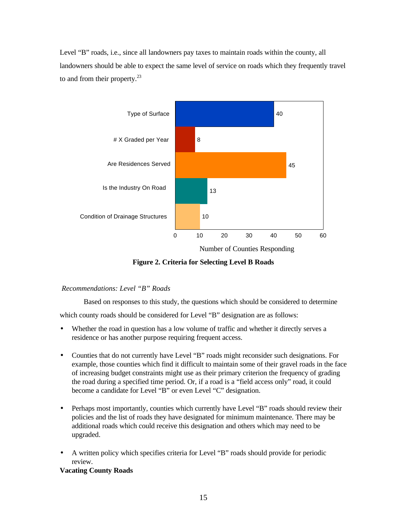Level "B" roads, i.e., since all landowners pay taxes to maintain roads within the county, all landowners should be able to expect the same level of service on roads which they frequently travel to and from their property. $^{23}$ 



**Figure 2. Criteria for Selecting Level B Roads**

## *Recommendations: Level "B" Roads*

Based on responses to this study, the questions which should be considered to determine

which county roads should be considered for Level "B" designation are as follows:

- Whether the road in question has a low volume of traffic and whether it directly serves a residence or has another purpose requiring frequent access.
- Counties that do not currently have Level "B" roads might reconsider such designations. For example, those counties which find it difficult to maintain some of their gravel roads in the face of increasing budget constraints might use as their primary criterion the frequency of grading the road during a specified time period. Or, if a road is a "field access only" road, it could become a candidate for Level "B" or even Level "C" designation.
- Perhaps most importantly, counties which currently have Level "B" roads should review their policies and the list of roads they have designated for minimum maintenance. There may be additional roads which could receive this designation and others which may need to be upgraded.
- A written policy which specifies criteria for Level "B" roads should provide for periodic review.

## **Vacating County Roads**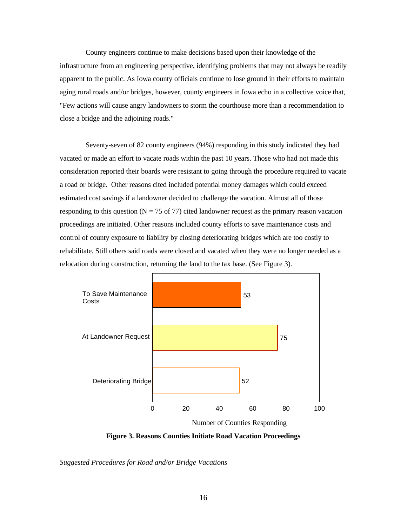<span id="page-30-0"></span>County engineers continue to make decisions based upon their knowledge of the infrastructure from an engineering perspective, identifying problems that may not always be readily apparent to the public. As Iowa county officials continue to lose ground in their efforts to maintain aging rural roads and/or bridges, however, county engineers in Iowa echo in a collective voice that, "Few actions will cause angry landowners to storm the courthouse more than a recommendation to close a bridge and the adjoining roads."

 Seventy-seven of 82 county engineers (94%) responding in this study indicated they had vacated or made an effort to vacate roads within the past 10 years. Those who had not made this consideration reported their boards were resistant to going through the procedure required to vacate a road or bridge. Other reasons cited included potential money damages which could exceed estimated cost savings if a landowner decided to challenge the vacation. Almost all of those responding to this question ( $N = 75$  of 77) cited landowner request as the primary reason vacation proceedings are initiated. Other reasons included county efforts to save maintenance costs and control of county exposure to liability by closing deteriorating bridges which are too costly to rehabilitate. Still others said roads were closed and vacated when they were no longer needed as a relocation during construction, returning the land to the tax base. (See Figure 3).



**Figure 3. Reasons Counties Initiate Road Vacation Proceedings**

*Suggested Procedures for Road and/or Bridge Vacations*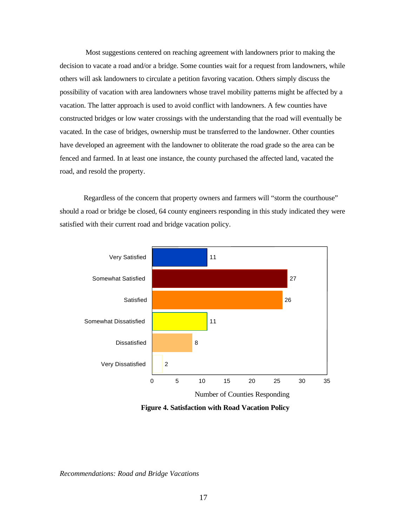Most suggestions centered on reaching agreement with landowners prior to making the decision to vacate a road and/or a bridge. Some counties wait for a request from landowners, while others will ask landowners to circulate a petition favoring vacation. Others simply discuss the possibility of vacation with area landowners whose travel mobility patterns might be affected by a vacation. The latter approach is used to avoid conflict with landowners. A few counties have constructed bridges or low water crossings with the understanding that the road will eventually be vacated. In the case of bridges, ownership must be transferred to the landowner. Other counties have developed an agreement with the landowner to obliterate the road grade so the area can be fenced and farmed. In at least one instance, the county purchased the affected land, vacated the road, and resold the property.

Regardless of the concern that property owners and farmers will "storm the courthouse" should a road or bridge be closed, 64 county engineers responding in this study indicated they were satisfied with their current road and bridge vacation policy.



**Figure 4. Satisfaction with Road Vacation Policy**

*Recommendations: Road and Bridge Vacations*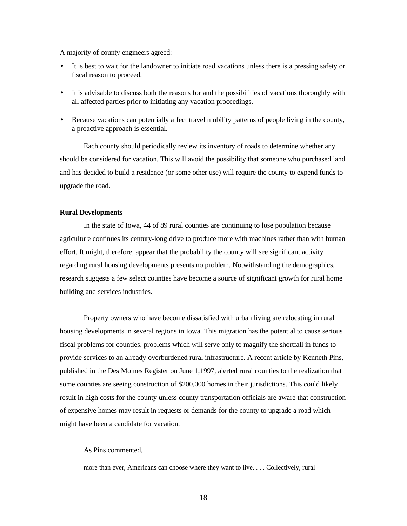<span id="page-32-0"></span>A majority of county engineers agreed:

- It is best to wait for the landowner to initiate road vacations unless there is a pressing safety or fiscal reason to proceed.
- It is advisable to discuss both the reasons for and the possibilities of vacations thoroughly with all affected parties prior to initiating any vacation proceedings.
- Because vacations can potentially affect travel mobility patterns of people living in the county, a proactive approach is essential.

Each county should periodically review its inventory of roads to determine whether any should be considered for vacation. This will avoid the possibility that someone who purchased land and has decided to build a residence (or some other use) will require the county to expend funds to upgrade the road.

## **Rural Developments**

In the state of Iowa, 44 of 89 rural counties are continuing to lose population because agriculture continues its century-long drive to produce more with machines rather than with human effort. It might, therefore, appear that the probability the county will see significant activity regarding rural housing developments presents no problem. Notwithstanding the demographics, research suggests a few select counties have become a source of significant growth for rural home building and services industries.

Property owners who have become dissatisfied with urban living are relocating in rural housing developments in several regions in Iowa. This migration has the potential to cause serious fiscal problems for counties, problems which will serve only to magnify the shortfall in funds to provide services to an already overburdened rural infrastructure. A recent article by Kenneth Pins, published in the Des Moines Register on June 1,1997, alerted rural counties to the realization that some counties are seeing construction of \$200,000 homes in their jurisdictions. This could likely result in high costs for the county unless county transportation officials are aware that construction of expensive homes may result in requests or demands for the county to upgrade a road which might have been a candidate for vacation.

#### As Pins commented,

more than ever, Americans can choose where they want to live. . . . Collectively, rural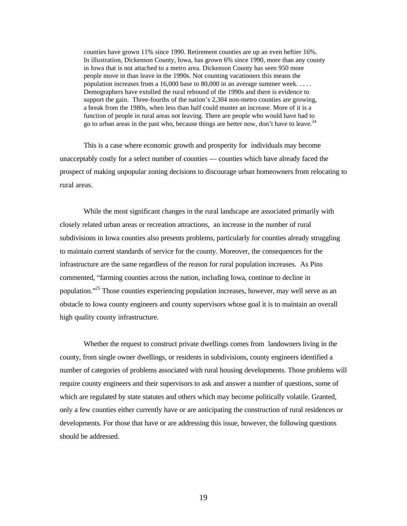counties have grown 11% since 1990. Retirement counties are up an even heftier 16%. In illustration, Dickenson County, Iowa, has grown 6% since 1990, more than any county in Iowa that is not attached to a metro area. Dickenson County has seen 950 more people move in than leave in the 1990s. Not counting vacationers this means the population increases from a 16,000 base to 80,000 in an average summer week. . . . . Demographers have extolled the rural rebound of the 1990s and there is evidence to support the gain. Three-fourths of the nation's 2,304 non-metro counties are growing, a break from the 1980s, when less than half could muster an increase. More of it is a function of people in rural areas not leaving. There are people who would have had to go to urban areas in the past who, because things are better now, don't have to leave.<sup>24</sup>

This is a case where economic growth and prosperity for individuals may become unacceptably costly for a select number of counties — counties which have already faced the prospect of making unpopular zoning decisions to discourage urban homeowners from relocating to rural areas.

While the most significant changes in the rural landscape are associated primarily with closely related urban areas or recreation attractions, an increase in the number of rural subdivisions in Iowa counties also presents problems, particularly for counties already struggling to maintain current standards of service for the county. Moreover, the consequences for the infrastructure are the same regardless of the reason for rural population increases. As Pins commented, "farming counties across the nation, including Iowa, continue to decline in population."<sup>25</sup> Those counties experiencing population increases, however, may well serve as an obstacle to Iowa county engineers and county supervisors whose goal it is to maintain an overall high quality county infrastructure.

Whether the request to construct private dwellings comes from landowners living in the county, from single owner dwellings, or residents in subdivisions, county engineers identified a number of categories of problems associated with rural housing developments. Those problems will require county engineers and their supervisors to ask and answer a number of questions, some of which are regulated by state statutes and others which may become politically volatile. Granted, only a few counties either currently have or are anticipating the construction of rural residences or developments. For those that have or are addressing this issue, however, the following questions should be addressed.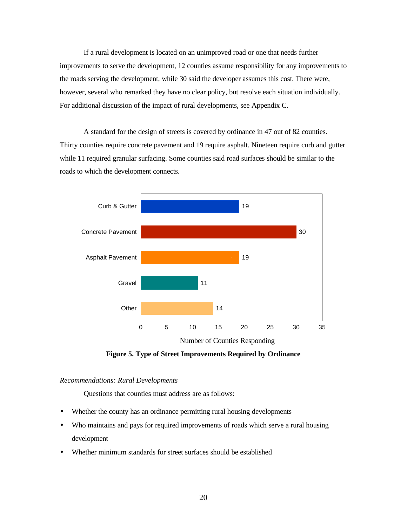If a rural development is located on an unimproved road or one that needs further improvements to serve the development, 12 counties assume responsibility for any improvements to the roads serving the development, while 30 said the developer assumes this cost. There were, however, several who remarked they have no clear policy, but resolve each situation individually. For additional discussion of the impact of rural developments, see Appendix C.

A standard for the design of streets is covered by ordinance in 47 out of 82 counties. Thirty counties require concrete pavement and 19 require asphalt. Nineteen require curb and gutter while 11 required granular surfacing. Some counties said road surfaces should be similar to the roads to which the development connects.



**Figure 5. Type of Street Improvements Required by Ordinance**

## *Recommendations: Rural Developments*

Questions that counties must address are as follows:

- Whether the county has an ordinance permitting rural housing developments
- Who maintains and pays for required improvements of roads which serve a rural housing development
- Whether minimum standards for street surfaces should be established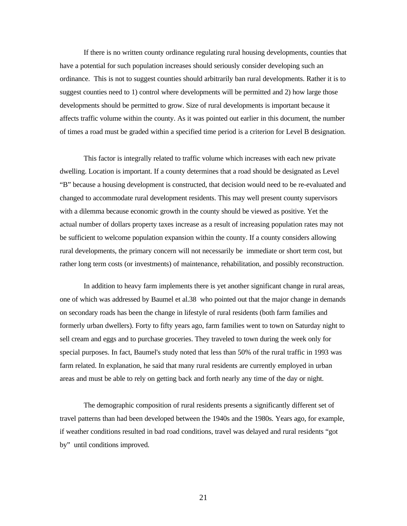If there is no written county ordinance regulating rural housing developments, counties that have a potential for such population increases should seriously consider developing such an ordinance. This is not to suggest counties should arbitrarily ban rural developments. Rather it is to suggest counties need to 1) control where developments will be permitted and 2) how large those developments should be permitted to grow. Size of rural developments is important because it affects traffic volume within the county. As it was pointed out earlier in this document, the number of times a road must be graded within a specified time period is a criterion for Level B designation.

This factor is integrally related to traffic volume which increases with each new private dwelling. Location is important. If a county determines that a road should be designated as Level "B" because a housing development is constructed, that decision would need to be re-evaluated and changed to accommodate rural development residents. This may well present county supervisors with a dilemma because economic growth in the county should be viewed as positive. Yet the actual number of dollars property taxes increase as a result of increasing population rates may not be sufficient to welcome population expansion within the county. If a county considers allowing rural developments, the primary concern will not necessarily be immediate or short term cost, but rather long term costs (or investments) of maintenance, rehabilitation, and possibly reconstruction.

In addition to heavy farm implements there is yet another significant change in rural areas, one of which was addressed by Baumel et al.38 who pointed out that the major change in demands on secondary roads has been the change in lifestyle of rural residents (both farm families and formerly urban dwellers). Forty to fifty years ago, farm families went to town on Saturday night to sell cream and eggs and to purchase groceries. They traveled to town during the week only for special purposes. In fact, Baumel's study noted that less than 50% of the rural traffic in 1993 was farm related. In explanation, he said that many rural residents are currently employed in urban areas and must be able to rely on getting back and forth nearly any time of the day or night.

The demographic composition of rural residents presents a significantly different set of travel patterns than had been developed between the 1940s and the 1980s. Years ago, for example, if weather conditions resulted in bad road conditions, travel was delayed and rural residents "got by" until conditions improved.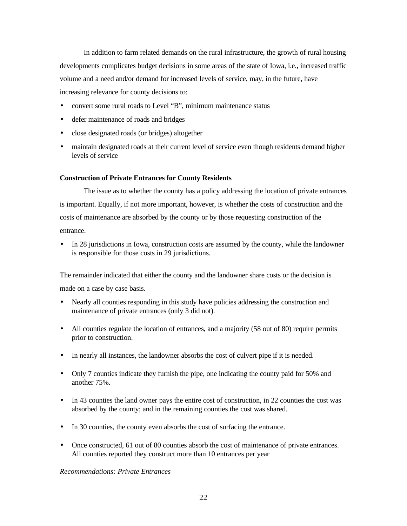In addition to farm related demands on the rural infrastructure, the growth of rural housing developments complicates budget decisions in some areas of the state of Iowa, i.e., increased traffic volume and a need and/or demand for increased levels of service, may, in the future, have increasing relevance for county decisions to:

- convert some rural roads to Level "B", minimum maintenance status
- defer maintenance of roads and bridges
- close designated roads (or bridges) altogether
- maintain designated roads at their current level of service even though residents demand higher levels of service

# **Construction of Private Entrances for County Residents**

The issue as to whether the county has a policy addressing the location of private entrances is important. Equally, if not more important, however, is whether the costs of construction and the costs of maintenance are absorbed by the county or by those requesting construction of the entrance.

• In 28 jurisdictions in Iowa, construction costs are assumed by the county, while the landowner is responsible for those costs in 29 jurisdictions.

The remainder indicated that either the county and the landowner share costs or the decision is made on a case by case basis.

- Nearly all counties responding in this study have policies addressing the construction and maintenance of private entrances (only 3 did not).
- All counties regulate the location of entrances, and a majority (58 out of 80) require permits prior to construction.
- In nearly all instances, the landowner absorbs the cost of culvert pipe if it is needed.
- Only 7 counties indicate they furnish the pipe, one indicating the county paid for 50% and another 75%.
- In 43 counties the land owner pays the entire cost of construction, in 22 counties the cost was absorbed by the county; and in the remaining counties the cost was shared.
- In 30 counties, the county even absorbs the cost of surfacing the entrance.
- Once constructed, 61 out of 80 counties absorb the cost of maintenance of private entrances. All counties reported they construct more than 10 entrances per year

### *Recommendations: Private Entrances*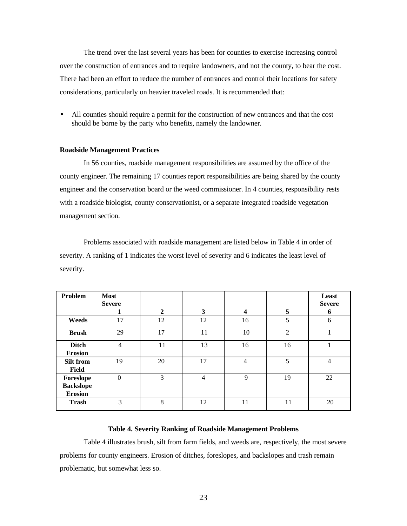The trend over the last several years has been for counties to exercise increasing control over the construction of entrances and to require landowners, and not the county, to bear the cost. There had been an effort to reduce the number of entrances and control their locations for safety considerations, particularly on heavier traveled roads. It is recommended that:

• All counties should require a permit for the construction of new entrances and that the cost should be borne by the party who benefits, namely the landowner.

### **Roadside Management Practices**

In 56 counties, roadside management responsibilities are assumed by the office of the county engineer. The remaining 17 counties report responsibilities are being shared by the county engineer and the conservation board or the weed commissioner. In 4 counties, responsibility rests with a roadside biologist, county conservationist, or a separate integrated roadside vegetation management section.

Problems associated with roadside management are listed below in Table 4 in order of severity. A ranking of 1 indicates the worst level of severity and 6 indicates the least level of severity.

| Problem                                         | <b>Most</b><br><b>Severe</b><br>1 | $\overline{2}$ | 3              | $\overline{\mathbf{4}}$ | 5              | Least<br><b>Severe</b><br>6 |
|-------------------------------------------------|-----------------------------------|----------------|----------------|-------------------------|----------------|-----------------------------|
| Weeds                                           | 17                                | 12             | 12             | 16                      | 5              | 6                           |
| <b>Brush</b>                                    | 29                                | 17             | 11             | 10                      | $\overline{2}$ |                             |
| <b>Ditch</b><br><b>Erosion</b>                  | $\overline{4}$                    | 11             | 13             | 16                      | 16             |                             |
| Silt from<br>Field                              | 19                                | 20             | 17             | $\overline{4}$          | 5              | 4                           |
| Foreslope<br><b>Backslope</b><br><b>Erosion</b> | $\boldsymbol{0}$                  | 3              | $\overline{4}$ | 9                       | 19             | 22                          |
| <b>Trash</b>                                    | 3                                 | 8              | 12             | 11                      | 11             | 20                          |

### **Table 4. Severity Ranking of Roadside Management Problems**

Table 4 illustrates brush, silt from farm fields, and weeds are, respectively, the most severe problems for county engineers. Erosion of ditches, foreslopes, and backslopes and trash remain problematic, but somewhat less so.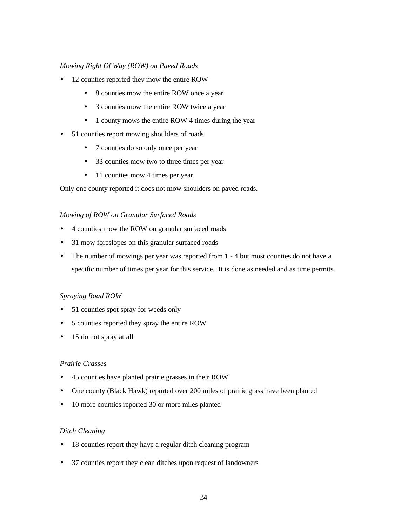# *Mowing Right Of Way (ROW) on Paved Roads*

- 12 counties reported they mow the entire ROW
	- 8 counties mow the entire ROW once a year
	- 3 counties mow the entire ROW twice a year
	- 1 county mows the entire ROW 4 times during the year
- 51 counties report mowing shoulders of roads
	- 7 counties do so only once per year
	- 33 counties mow two to three times per year
	- 11 counties mow 4 times per year

Only one county reported it does not mow shoulders on paved roads.

# *Mowing of ROW on Granular Surfaced Roads*

- 4 counties mow the ROW on granular surfaced roads
- 31 mow foreslopes on this granular surfaced roads
- The number of mowings per year was reported from 1 4 but most counties do not have a specific number of times per year for this service. It is done as needed and as time permits.

# *Spraying Road ROW*

- 51 counties spot spray for weeds only
- 5 counties reported they spray the entire ROW
- 15 do not spray at all

# *Prairie Grasses*

- 45 counties have planted prairie grasses in their ROW
- One county (Black Hawk) reported over 200 miles of prairie grass have been planted
- 10 more counties reported 30 or more miles planted

# *Ditch Cleaning*

- 18 counties report they have a regular ditch cleaning program
- 37 counties report they clean ditches upon request of landowners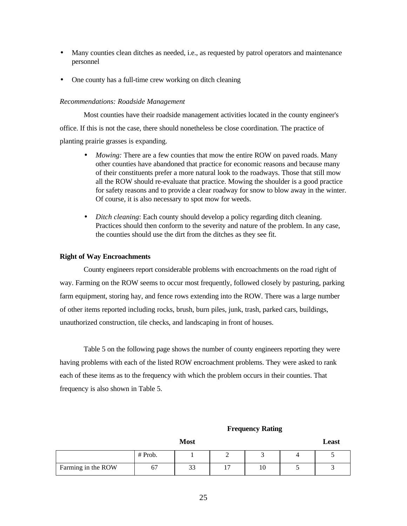- Many counties clean ditches as needed, i.e., as requested by patrol operators and maintenance personnel
- One county has a full-time crew working on ditch cleaning

### *Recommendations: Roadside Management*

Most counties have their roadside management activities located in the county engineer's office. If this is not the case, there should nonetheless be close coordination. The practice of planting prairie grasses is expanding.

- *Mowing:* There are a few counties that mow the entire ROW on paved roads. Many other counties have abandoned that practice for economic reasons and because many of their constituents prefer a more natural look to the roadways. Those that still mow all the ROW should re-evaluate that practice. Mowing the shoulder is a good practice for safety reasons and to provide a clear roadway for snow to blow away in the winter. Of course, it is also necessary to spot mow for weeds.
- *Ditch cleaning*: Each county should develop a policy regarding ditch cleaning. Practices should then conform to the severity and nature of the problem. In any case, the counties should use the dirt from the ditches as they see fit.

## **Right of Way Encroachments**

County engineers report considerable problems with encroachments on the road right of way. Farming on the ROW seems to occur most frequently, followed closely by pasturing, parking farm equipment, storing hay, and fence rows extending into the ROW. There was a large number of other items reported including rocks, brush, burn piles, junk, trash, parked cars, buildings, unauthorized construction, tile checks, and landscaping in front of houses.

Table 5 on the following page shows the number of county engineers reporting they were having problems with each of the listed ROW encroachment problems. They were asked to rank each of these items as to the frequency with which the problem occurs in their counties. That frequency is also shown in Table 5.

#### **Frequency Rating**

|                    |         | <b>Most</b> |    | Least |
|--------------------|---------|-------------|----|-------|
|                    | # Prob. |             |    |       |
| Farming in the ROW | о,      | 33          | 10 |       |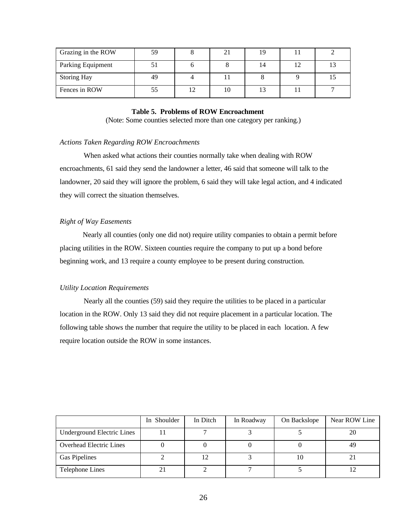| Grazing in the ROW | 59 |  | 19 |  |
|--------------------|----|--|----|--|
| Parking Equipment  |    |  | 14 |  |
| <b>Storing Hay</b> | 49 |  |    |  |
| Fences in ROW      |    |  |    |  |

### **Table 5. Problems of ROW Encroachment**

(Note: Some counties selected more than one category per ranking.)

### *Actions Taken Regarding ROW Encroachments*

When asked what actions their counties normally take when dealing with ROW encroachments, 61 said they send the landowner a letter, 46 said that someone will talk to the landowner, 20 said they will ignore the problem, 6 said they will take legal action, and 4 indicated they will correct the situation themselves.

### *Right of Way Easements*

 Nearly all counties (only one did not) require utility companies to obtain a permit before placing utilities in the ROW. Sixteen counties require the company to put up a bond before beginning work, and 13 require a county employee to be present during construction.

### *Utility Location Requirements*

Nearly all the counties (59) said they require the utilities to be placed in a particular location in the ROW. Only 13 said they did not require placement in a particular location. The following table shows the number that require the utility to be placed in each location. A few require location outside the ROW in some instances.

|                                   | In Shoulder | In Ditch | In Roadway | On Backslope | Near ROW Line |
|-----------------------------------|-------------|----------|------------|--------------|---------------|
| <b>Underground Electric Lines</b> |             |          |            |              | 20            |
| <b>Overhead Electric Lines</b>    |             |          |            |              | 49            |
| <b>Gas Pipelines</b>              |             | 12       |            | 10           |               |
| Telephone Lines                   | 21          |          |            |              |               |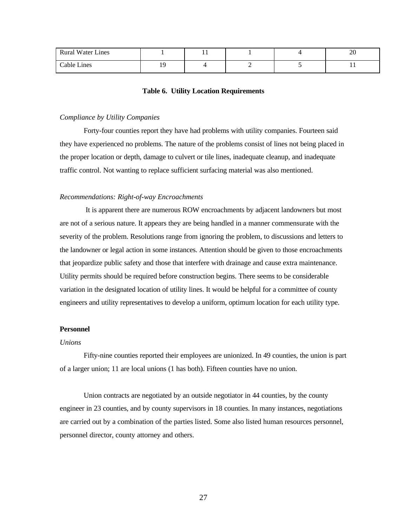| <b>Rural Water Lines</b> |    | . . |  | oc<br>$\angle U$ |
|--------------------------|----|-----|--|------------------|
| Cable Lines              | 1C |     |  |                  |

#### **Table 6. Utility Location Requirements**

#### *Compliance by Utility Companies*

Forty-four counties report they have had problems with utility companies. Fourteen said they have experienced no problems. The nature of the problems consist of lines not being placed in the proper location or depth, damage to culvert or tile lines, inadequate cleanup, and inadequate traffic control. Not wanting to replace sufficient surfacing material was also mentioned.

### *Recommendations: Right-of-way Encroachments*

 It is apparent there are numerous ROW encroachments by adjacent landowners but most are not of a serious nature. It appears they are being handled in a manner commensurate with the severity of the problem. Resolutions range from ignoring the problem, to discussions and letters to the landowner or legal action in some instances. Attention should be given to those encroachments that jeopardize public safety and those that interfere with drainage and cause extra maintenance. Utility permits should be required before construction begins. There seems to be considerable variation in the designated location of utility lines. It would be helpful for a committee of county engineers and utility representatives to develop a uniform, optimum location for each utility type.

### **Personnel**

#### *Unions*

Fifty-nine counties reported their employees are unionized. In 49 counties, the union is part of a larger union; 11 are local unions (1 has both). Fifteen counties have no union.

Union contracts are negotiated by an outside negotiator in 44 counties, by the county engineer in 23 counties, and by county supervisors in 18 counties. In many instances, negotiations are carried out by a combination of the parties listed. Some also listed human resources personnel, personnel director, county attorney and others.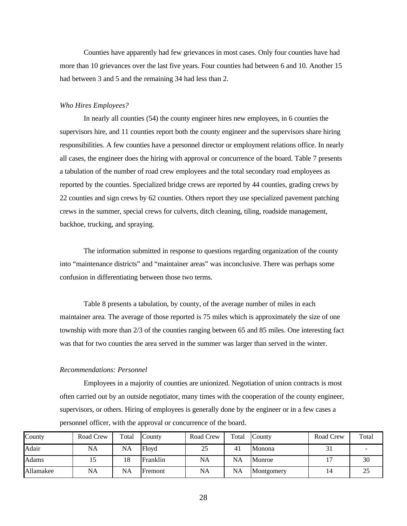Counties have apparently had few grievances in most cases. Only four counties have had more than 10 grievances over the last five years. Four counties had between 6 and 10. Another 15 had between 3 and 5 and the remaining 34 had less than 2.

#### *Who Hires Employees?*

In nearly all counties (54) the county engineer hires new employees, in 6 counties the supervisors hire, and 11 counties report both the county engineer and the supervisors share hiring responsibilities. A few counties have a personnel director or employment relations office. In nearly all cases, the engineer does the hiring with approval or concurrence of the board. Table 7 presents a tabulation of the number of road crew employees and the total secondary road employees as reported by the counties. Specialized bridge crews are reported by 44 counties, grading crews by 22 counties and sign crews by 62 counties. Others report they use specialized pavement patching crews in the summer, special crews for culverts, ditch cleaning, tiling, roadside management, backhoe, trucking, and spraying.

The information submitted in response to questions regarding organization of the county into "maintenance districts" and "maintainer areas" was inconclusive. There was perhaps some confusion in differentiating between those two terms.

Table 8 presents a tabulation, by county, of the average number of miles in each maintainer area. The average of those reported is 75 miles which is approximately the size of one township with more than 2/3 of the counties ranging between 65 and 85 miles. One interesting fact was that for two counties the area served in the summer was larger than served in the winter.

#### *Recommendations: Personnel*

Employees in a majority of counties are unionized. Negotiation of union contracts is most often carried out by an outside negotiator, many times with the cooperation of the county engineer, supervisors, or others. Hiring of employees is generally done by the engineer or in a few cases a personnel officer, with the approval or concurrence of the board.

| County    | Road Crew | Total     | County   | Road Crew | Total     | County     | Road Crew   | Total |
|-----------|-----------|-----------|----------|-----------|-----------|------------|-------------|-------|
| Adair     | NA        | <b>NA</b> | Floyd    | 25        | 41        | Monona     | $\sim$<br>◡ |       |
| Adams     |           | 18        | Franklin | <b>NA</b> | NA        | Monroe     |             | 30    |
| Allamakee | NA        | <b>NA</b> | Fremont  | <b>NA</b> | <b>NA</b> | Montgomery | 14          | 25    |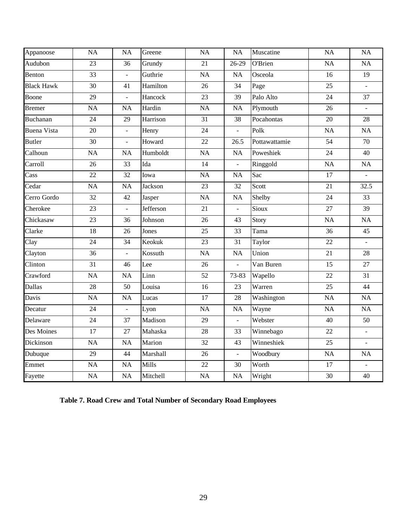| Appanoose          | <b>NA</b>       | <b>NA</b>      | Greene    | NA        | <b>NA</b>      | Muscatine     | NA              | NA                       |
|--------------------|-----------------|----------------|-----------|-----------|----------------|---------------|-----------------|--------------------------|
| Audubon            | 23              | 36             | Grundy    | 21        | $26-29$        | O'Brien       | <b>NA</b>       | NA                       |
| Benton             | 33              | $\overline{a}$ | Guthrie   | <b>NA</b> | <b>NA</b>      | Osceola       | 16              | 19                       |
| <b>Black Hawk</b>  | 30              | 41             | Hamilton  | 26        | 34             | Page          | 25              | $\mathbf{r}$             |
| Boone              | 29              | $\overline{a}$ | Hancock   | 23        | 39             | Palo Alto     | 24              | 37                       |
| <b>Bremer</b>      | <b>NA</b>       | <b>NA</b>      | Hardin    | <b>NA</b> | <b>NA</b>      | Plymouth      | 26              | $\mathbb{Z}^2$           |
| <b>Buchanan</b>    | 24              | 29             | Harrison  | 31        | 38             | Pocahontas    | 20              | 28                       |
| <b>Buena Vista</b> | 20              | $\overline{a}$ | Henry     | 24        | $\frac{1}{2}$  | Polk          | <b>NA</b>       | $\overline{NA}$          |
| <b>Butler</b>      | 30              | $\overline{a}$ | Howard    | 22        | 26.5           | Pottawattamie | 54              | 70                       |
| Calhoun            | <b>NA</b>       | <b>NA</b>      | Humboldt  | <b>NA</b> | <b>NA</b>      | Poweshiek     | 24              | 40                       |
| Carroll            | 26              | 33             | Ida       | 14        | $\frac{1}{2}$  | Ringgold      | <b>NA</b>       | NA                       |
| Cass               | $\overline{22}$ | 32             | Iowa      | <b>NA</b> | <b>NA</b>      | Sac           | 17              | $\overline{a}$           |
| Cedar              | <b>NA</b>       | <b>NA</b>      | Jackson   | 23        | 32             | Scott         | 21              | 32.5                     |
| Cerro Gordo        | 32              | 42             | Jasper    | <b>NA</b> | <b>NA</b>      | Shelby        | 24              | 33                       |
| Cherokee           | 23              | $\overline{a}$ | Jefferson | 21        | $\overline{a}$ | Sioux         | 27              | 39                       |
| Chickasaw          | 23              | 36             | Johnson   | 26        | 43             | Story         | NA              | NA                       |
| Clarke             | 18              | 26             | Jones     | 25        | 33             | Tama          | 36              | 45                       |
| Clay               | 24              | 34             | Keokuk    | 23        | 31             | Taylor        | 22              | $\mathbf{r}$             |
| Clayton            | 36              | $\overline{a}$ | Kossuth   | <b>NA</b> | <b>NA</b>      | Union         | $21\,$          | 28                       |
| Clinton            | 31              | 46             | Lee       | 26        | $\overline{a}$ | Van Buren     | 15              | 27                       |
| Crawford           | <b>NA</b>       | <b>NA</b>      | Linn      | 52        | 73-83          | Wapello       | 22              | 31                       |
| Dallas             | 28              | 50             | Louisa    | 16        | 23             | Warren        | $\overline{25}$ | 44                       |
| Davis              | <b>NA</b>       | <b>NA</b>      | Lucas     | $17\,$    | 28             | Washington    | <b>NA</b>       | $\rm NA$                 |
| Decatur            | 24              | $\frac{1}{2}$  | Lyon      | <b>NA</b> | <b>NA</b>      | Wayne         | <b>NA</b>       | NA                       |
| Delaware           | 24              | 37             | Madison   | 29        | $\overline{a}$ | Webster       | 40              | 50                       |
| Des Moines         | 17              | 27             | Mahaska   | 28        | 33             | Winnebago     | 22              | $\mathbb{Z}^2$           |
| Dickinson          | <b>NA</b>       | <b>NA</b>      | Marion    | 32        | 43             | Winneshiek    | 25              | $\mathcal{L}$            |
| Dubuque            | 29              | 44             | Marshall  | 26        | $\Box$         | Woodbury      | <b>NA</b>       | NA                       |
| Emmet              | <b>NA</b>       | <b>NA</b>      | Mills     | 22        | 30             | Worth         | 17              | $\overline{\phantom{a}}$ |
| Fayette            | <b>NA</b>       | <b>NA</b>      | Mitchell  | <b>NA</b> | <b>NA</b>      | Wright        | 30              | 40                       |

**Table 7. Road Crew and Total Number of Secondary Road Employees**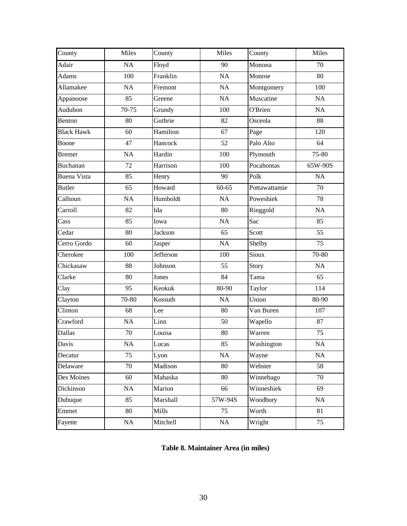| County             | Miles   | County    | Miles     | County        | Miles   |
|--------------------|---------|-----------|-----------|---------------|---------|
| Adair              | NA      | Floyd     | 90        | Monona        | 70      |
| <b>Adams</b>       | 100     | Franklin  | NA        | Monroe        | 80      |
| Allamakee          | NA      | Fremont   | NA        | Montgomery    | 100     |
| Appanoose          | 85      | Greene    | NA        | Muscatine     | NA      |
| Audubon            | $70-75$ | Grundy    | 100       | O'Brien       | NA      |
| Benton             | 80      | Guthrie   | 82        | Osceola       | 88      |
| <b>Black Hawk</b>  | 60      | Hamilton  | 67        | Page          | 120     |
| Boone              | 47      | Hancock   | 52        | Palo Alto     | 64      |
| <b>Bremer</b>      | NA      | Hardin    | 100       | Plymouth      | 75-80   |
| <b>Buchanan</b>    | 72      | Harrison  | 100       | Pocahontas    | 65W-90S |
| <b>Buena Vista</b> | 85      | Henry     | 90        | Polk          | NA      |
| <b>Butler</b>      | 65      | Howard    | $60 - 65$ | Pottawattamie | 70      |
| Calhoun            | NA      | Humboldt  | NA        | Poweshiek     | 78      |
| Carroll            | 82      | Ida       | 80        | Ringgold      | NA      |
| Cass               | 85      | Iowa      | NA        | Sac           | 85      |
| Cedar              | 80      | Jackson   | 65        | Scott         | 55      |
| Cerro Gordo        | 60      | Jasper    | NA        | Shelby        | 75      |
| Cherokee           | 100     | Jefferson | 100       | Sioux         | 70-80   |
| Chickasaw          | 88      | Johnson   | 55        | Story         | NA      |
| Clarke             | 80      | Jones     | 84        | Tama          | 65      |
| Clay               | 95      | Keokuk    | 80-90     | Taylor        | 114     |
| Clayton            | 70-80   | Kossuth   | <b>NA</b> | Union         | 80-90   |
| Clinton            | 68      | Lee       | 80        | Van Buren     | 107     |
| Crawford           | NA      | Linn      | 50        | Wapello       | 87      |
| <b>Dallas</b>      | 70      | Louisa    | 80        | Warren        | 75      |
| Davis              | NA      | Lucas     | 85        | Washington    | NA      |
| Decatur            | 75      | Lyon      | <b>NA</b> | Wayne         | NA      |
| Delaware           | 70      | Madison   | 80        | Webster       | 58      |
| Des Moines         | 60      | Mahaska   | 80        | Winnebago     | 70      |
| Dickinson          | NA      | Marion    | 66        | Winneshiek    | 69      |
| Dubuque            | 85      | Marshall  | 57W-94S   | Woodbury      | NA      |
| Emmet              | 80      | Mills     | 75        | Worth         | 81      |
| Fayette            | NA      | Mitchell  | $\rm NA$  | Wright        | 75      |

# **Table 8. Maintainer Area (in miles)**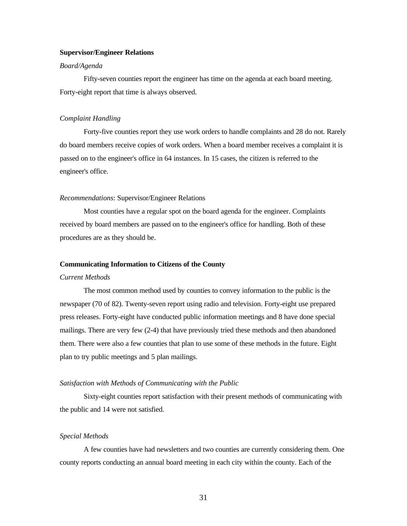#### **Supervisor/Engineer Relations**

# *Board/Agenda*

Fifty-seven counties report the engineer has time on the agenda at each board meeting. Forty-eight report that time is always observed.

#### *Complaint Handling*

Forty-five counties report they use work orders to handle complaints and 28 do not. Rarely do board members receive copies of work orders. When a board member receives a complaint it is passed on to the engineer's office in 64 instances. In 15 cases, the citizen is referred to the engineer's office.

#### *Recommendations*: Supervisor/Engineer Relations

Most counties have a regular spot on the board agenda for the engineer. Complaints received by board members are passed on to the engineer's office for handling. Both of these procedures are as they should be.

#### **Communicating Information to Citizens of the County**

### *Current Methods*

The most common method used by counties to convey information to the public is the newspaper (70 of 82). Twenty-seven report using radio and television. Forty-eight use prepared press releases. Forty-eight have conducted public information meetings and 8 have done special mailings. There are very few (2-4) that have previously tried these methods and then abandoned them. There were also a few counties that plan to use some of these methods in the future. Eight plan to try public meetings and 5 plan mailings.

### *Satisfaction with Methods of Communicating with the Public*

Sixty-eight counties report satisfaction with their present methods of communicating with the public and 14 were not satisfied.

#### *Special Methods*

A few counties have had newsletters and two counties are currently considering them. One county reports conducting an annual board meeting in each city within the county. Each of the

31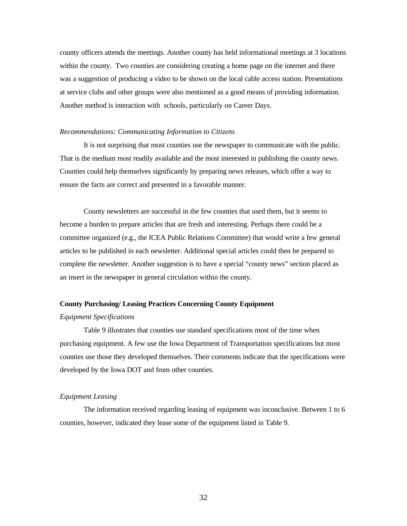county officers attends the meetings. Another county has held informational meetings at 3 locations within the county. Two counties are considering creating a home page on the internet and there was a suggestion of producing a video to be shown on the local cable access station. Presentations at service clubs and other groups were also mentioned as a good means of providing information. Another method is interaction with schools, particularly on Career Days.

#### *Recommendations: Communicating Information to Citizens*

It is not surprising that most counties use the newspaper to communicate with the public. That is the medium most readily available and the most interested in publishing the county news. Counties could help themselves significantly by preparing news releases, which offer a way to ensure the facts are correct and presented in a favorable manner.

County newsletters are successful in the few counties that used them, but it seems to become a burden to prepare articles that are fresh and interesting. Perhaps there could be a committee organized (e.g., the ICEA Public Relations Committee) that would write a few general articles to be published in each newsletter. Additional special articles could then be prepared to complete the newsletter. Another suggestion is to have a special "county news" section placed as an insert in the newspaper in general circulation within the county.

#### **County Purchasing/ Leasing Practices Concerning County Equipment**

### *Equipment Specifications*

Table 9 illustrates that counties use standard specifications most of the time when purchasing equipment. A few use the Iowa Department of Transportation specifications but most counties use those they developed themselves. Their comments indicate that the specifications were developed by the Iowa DOT and from other counties.

### *Equipment Leasing*

The information received regarding leasing of equipment was inconclusive. Between 1 to 6 counties, however, indicated they lease some of the equipment listed in Table 9.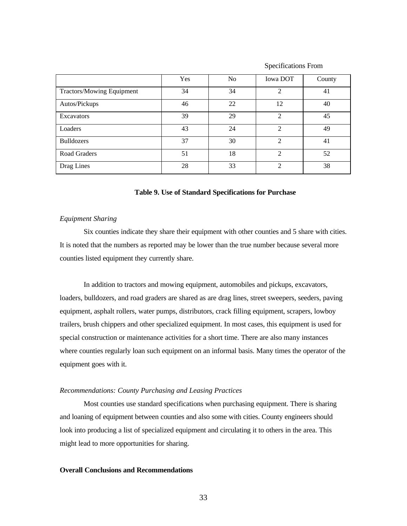|                           | Yes | N <sub>o</sub> | <b>Iowa DOT</b>             | County |
|---------------------------|-----|----------------|-----------------------------|--------|
| Tractors/Mowing Equipment | 34  | 34             | $\mathfrak{D}$              | 41     |
| Autos/Pickups             | 46  | 22             | 12                          | 40     |
| Excavators                | 39  | 29             | $\mathfrak{D}$              | 45     |
| Loaders                   | 43  | 24             | $\mathfrak{D}$              | 49     |
| <b>Bulldozers</b>         | 37  | 30             | $\mathfrak{D}$              | 41     |
| Road Graders              | 51  | 18             | $\mathcal{D}_{\mathcal{A}}$ | 52     |
| Drag Lines                | 28  | 33             | $\mathfrak{D}$              | 38     |

Specifications From

### **Table 9. Use of Standard Specifications for Purchase**

# *Equipment Sharing*

Six counties indicate they share their equipment with other counties and 5 share with cities. It is noted that the numbers as reported may be lower than the true number because several more counties listed equipment they currently share.

In addition to tractors and mowing equipment, automobiles and pickups, excavators, loaders, bulldozers, and road graders are shared as are drag lines, street sweepers, seeders, paving equipment, asphalt rollers, water pumps, distributors, crack filling equipment, scrapers, lowboy trailers, brush chippers and other specialized equipment. In most cases, this equipment is used for special construction or maintenance activities for a short time. There are also many instances where counties regularly loan such equipment on an informal basis. Many times the operator of the equipment goes with it.

### *Recommendations: County Purchasing and Leasing Practices*

Most counties use standard specifications when purchasing equipment. There is sharing and loaning of equipment between counties and also some with cities. County engineers should look into producing a list of specialized equipment and circulating it to others in the area. This might lead to more opportunities for sharing.

#### **Overall Conclusions and Recommendations**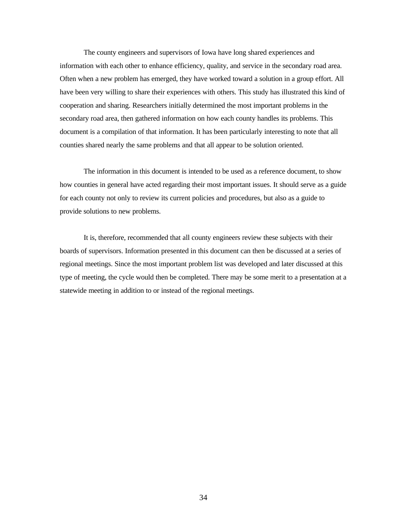The county engineers and supervisors of Iowa have long shared experiences and information with each other to enhance efficiency, quality, and service in the secondary road area. Often when a new problem has emerged, they have worked toward a solution in a group effort. All have been very willing to share their experiences with others. This study has illustrated this kind of cooperation and sharing. Researchers initially determined the most important problems in the secondary road area, then gathered information on how each county handles its problems. This document is a compilation of that information. It has been particularly interesting to note that all counties shared nearly the same problems and that all appear to be solution oriented.

The information in this document is intended to be used as a reference document, to show how counties in general have acted regarding their most important issues. It should serve as a guide for each county not only to review its current policies and procedures, but also as a guide to provide solutions to new problems.

It is, therefore, recommended that all county engineers review these subjects with their boards of supervisors. Information presented in this document can then be discussed at a series of regional meetings. Since the most important problem list was developed and later discussed at this type of meeting, the cycle would then be completed. There may be some merit to a presentation at a statewide meeting in addition to or instead of the regional meetings.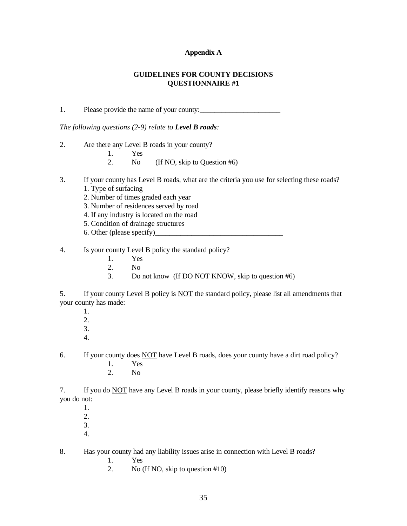### **Appendix A**

# **GUIDELINES FOR COUNTY DECISIONS QUESTIONNAIRE #1**

1. Please provide the name of your county:

*The following questions (2-9) relate to Level B roads:*

2. Are there any Level B roads in your county?

1. Yes

- 2. No (If NO, skip to Question #6)
- 3. If your county has Level B roads, what are the criteria you use for selecting these roads?
	- 1. Type of surfacing
	- 2. Number of times graded each year
	- 3. Number of residences served by road
	- 4. If any industry is located on the road
	- 5. Condition of drainage structures
	- 6. Other (please specify)\_\_\_\_\_\_\_\_\_\_\_\_\_\_\_\_\_\_\_\_\_\_\_\_\_\_\_\_\_\_\_\_\_\_\_

4. Is your county Level B policy the standard policy?

- 1. Yes<br>2. No
- $N<sub>0</sub>$
- 3. Do not know (If DO NOT KNOW, skip to question #6)

5. If your county Level B policy is NOT the standard policy, please list all amendments that your county has made:

1. 2. 3. 4.

6. If your county does NOT have Level B roads, does your county have a dirt road policy?

- 1. Yes
- 2. No

7. If you do NOT have any Level B roads in your county, please briefly identify reasons why you do not:

- 1. 2. 3.
- 4.

8. Has your county had any liability issues arise in connection with Level B roads?

1. Yes

2. No (If NO, skip to question #10)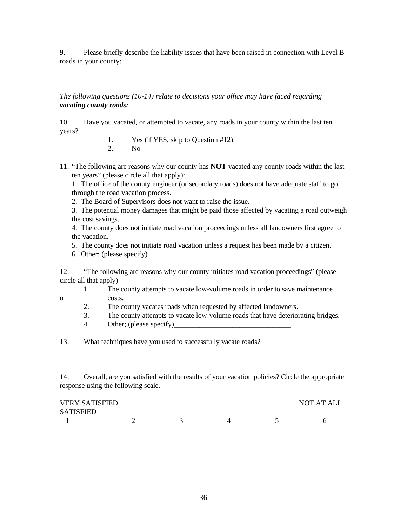9. Please briefly describe the liability issues that have been raised in connection with Level B roads in your county:

*The following questions (10-14) relate to decisions your office may have faced regarding vacating county roads:*

10. Have you vacated, or attempted to vacate, any roads in your county within the last ten years?

> 1. Yes (if YES, skip to Question #12) 2. No

11. "The following are reasons why our county has **NOT** vacated any county roads within the last ten years" (please circle all that apply):

1. The office of the county engineer (or secondary roads) does not have adequate staff to go through the road vacation process.

2. The Board of Supervisors does not want to raise the issue.

3. The potential money damages that might be paid those affected by vacating a road outweigh the cost savings.

4. The county does not initiate road vacation proceedings unless all landowners first agree to the vacation.

5. The county does not initiate road vacation unless a request has been made by a citizen.

6. Other; (please specify)

12. "The following are reasons why our county initiates road vacation proceedings" (please circle all that apply)

- 1. The county attempts to vacate low-volume roads in order to save maintenance o costs.
	- 2. The county vacates roads when requested by affected landowners.
	- 3. The county attempts to vacate low-volume roads that have deteriorating bridges.
	- 4. Other; (please specify)\_\_\_\_\_\_\_\_\_\_\_\_\_\_\_\_\_\_\_\_\_\_\_\_\_\_\_\_\_\_\_\_

13. What techniques have you used to successfully vacate roads?

14. Overall, are you satisfied with the results of your vacation policies? Circle the appropriate response using the following scale.

| <b>VERY SATISFIED</b> |  |  | NOT AT ALL |
|-----------------------|--|--|------------|
| <b>SATISFIED</b>      |  |  |            |
|                       |  |  |            |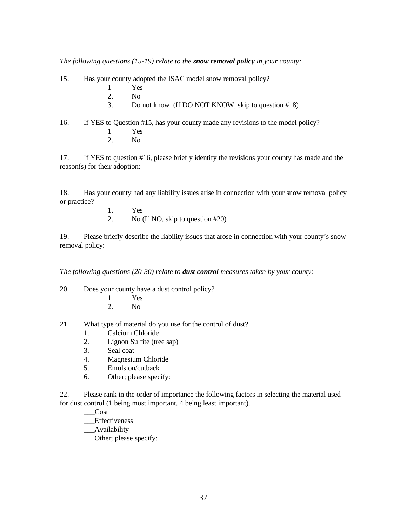*The following questions (15-19) relate to the snow removal policy in your county:*

15. Has your county adopted the ISAC model snow removal policy?

- 1 Yes
- 2. No
- 3. Do not know (If DO NOT KNOW, skip to question #18)

16. If YES to Question #15, has your county made any revisions to the model policy? 1 Yes

- 
- 2. No

17. If YES to question #16, please briefly identify the revisions your county has made and the reason(s) for their adoption:

18. Has your county had any liability issues arise in connection with your snow removal policy or practice?

- 1. Yes
- 2. No (If NO, skip to question #20)

19. Please briefly describe the liability issues that arose in connection with your county's snow removal policy:

*The following questions (20-30) relate to dust control measures taken by your county:*

20. Does your county have a dust control policy?

- 1 Yes
- 2. No
- 21. What type of material do you use for the control of dust?
	- 1. Calcium Chloride
	- 2. Lignon Sulfite (tree sap)
	- 3. Seal coat
	- 4. Magnesium Chloride
	- 5. Emulsion/cutback
	- 6. Other; please specify:

22. Please rank in the order of importance the following factors in selecting the material used for dust control (1 being most important, 4 being least important).

- \_\_\_Cost
- \_\_\_Effectiveness
- \_\_\_Availability
- \_\_\_Other; please specify:\_\_\_\_\_\_\_\_\_\_\_\_\_\_\_\_\_\_\_\_\_\_\_\_\_\_\_\_\_\_\_\_\_\_\_\_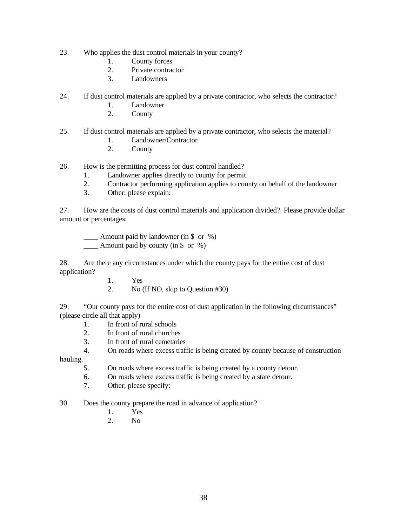- 23. Who applies the dust control materials in your county?
	- 1. County forces
	- 2. Private contractor
	- 3. Landowners
- 24. If dust control materials are applied by a private contractor, who selects the contractor?
	- 1. Landowner
	- 2. County
- 25. If dust control materials are applied by a private contractor, who selects the material?
	- 1. Landowner/Contractor
	- 2. County
- 26. How is the permitting process for dust control handled?
	- 1. Landowner applies directly to county for permit.
	- 2. Contractor performing application applies to county on behalf of the landowner
	- 3. Other; please explain:

27. How are the costs of dust control materials and application divided? Please provide dollar amount or percentages:

\_\_\_\_ Amount paid by landowner (in \$ or %) Amount paid by county (in  $\frac{1}{2}$  or  $\frac{1}{2}$ )

28. Are there any circumstances under which the county pays for the entire cost of dust application?

1. Yes

2. No (If NO, skip to Question #30)

29. "Our county pays for the entire cost of dust application in the following circumstances" (please circle all that apply)

- 1. In front of rural schools
- 2. In front of rural churches
- 3. In front of rural cemetaries
- 4. On roads where excess traffic is being created by county because of construction

hauling.

- 5. On roads where excess traffic is being created by a county detour.
- 6. On roads where excess traffic is being created by a state detour.
- 7. Other; please specify:

30. Does the county prepare the road in advance of application?

- 1. Yes
- 2. No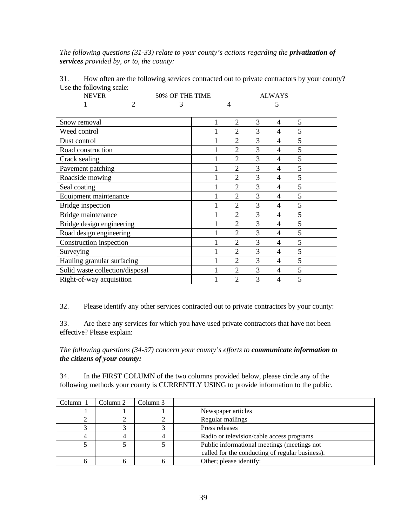*The following questions (31-33) relate to your county's actions regarding the privatization of services provided by, or to, the county:*

| <b>NEVER</b>                    |   | 50% OF THE TIME |   |                |   | <b>ALWAYS</b>  |   |  |
|---------------------------------|---|-----------------|---|----------------|---|----------------|---|--|
|                                 | 2 | 3               |   |                |   | 5              |   |  |
|                                 |   |                 |   |                | 3 |                | 5 |  |
| Snow removal                    |   |                 | 1 | $\overline{2}$ |   | 4              |   |  |
| Weed control                    |   |                 |   | $\overline{2}$ | 3 | 4              | 5 |  |
| Dust control                    |   |                 |   | $\overline{2}$ | 3 | 4              | 5 |  |
| Road construction               |   |                 |   | $\overline{2}$ | 3 | 4              | 5 |  |
| Crack sealing                   |   |                 |   | $\overline{2}$ | 3 | 4              | 5 |  |
| Pavement patching               |   |                 |   | $\overline{2}$ | 3 | 4              | 5 |  |
| Roadside mowing                 |   |                 |   | $\overline{2}$ | 3 | 4              | 5 |  |
| Seal coating                    |   |                 |   | $\overline{2}$ | 3 | 4              | 5 |  |
| Equipment maintenance           |   |                 |   | $\overline{2}$ | 3 | 4              | 5 |  |
| <b>Bridge</b> inspection        |   |                 |   | 2              | 3 | 4              | 5 |  |
| Bridge maintenance              |   |                 |   | $\overline{2}$ | 3 | 4              | 5 |  |
| Bridge design engineering       |   |                 |   | $\overline{2}$ | 3 | 4              | 5 |  |
| Road design engineering         |   |                 |   | $\overline{2}$ | 3 | $\overline{4}$ | 5 |  |
| Construction inspection         |   |                 |   | $\overline{2}$ | 3 | 4              | 5 |  |
| Surveying                       |   |                 |   | 2              | 3 | 4              | 5 |  |
| Hauling granular surfacing      |   |                 |   | $\overline{2}$ | 3 | 4              | 5 |  |
| Solid waste collection/disposal |   |                 |   | $\overline{2}$ | 3 | 4              | 5 |  |
| Right-of-way acquisition        |   |                 |   | $\overline{2}$ | 3 | 4              | 5 |  |

31. How often are the following services contracted out to private contractors by your county? Use the following scale:

32. Please identify any other services contracted out to private contractors by your county:

33. Are there any services for which you have used private contractors that have not been effective? Please explain:

*The following questions (34-37) concern your county's efforts to communicate information to the citizens of your county:*

34. In the FIRST COLUMN of the two columns provided below, please circle any of the following methods your county is CURRENTLY USING to provide information to the public.

| Column 1 | Column 2 | Column 3 |                                                 |
|----------|----------|----------|-------------------------------------------------|
|          |          |          | Newspaper articles                              |
|          |          |          | Regular mailings                                |
|          |          |          | Press releases                                  |
|          |          |          | Radio or television/cable access programs       |
|          |          |          | Public informational meetings (meetings not     |
|          |          |          | called for the conducting of regular business). |
|          |          |          | Other; please identify:                         |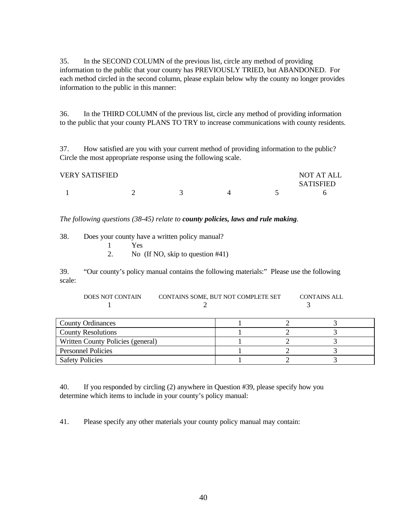35. In the SECOND COLUMN of the previous list, circle any method of providing information to the public that your county has PREVIOUSLY TRIED, but ABANDONED. For each method circled in the second column, please explain below why the county no longer provides information to the public in this manner:

36. In the THIRD COLUMN of the previous list, circle any method of providing information to the public that your county PLANS TO TRY to increase communications with county residents.

37. How satisfied are you with your current method of providing information to the public? Circle the most appropriate response using the following scale.

| <b>VERY SATISFIED</b> |  |  | NOT AT ALL       |
|-----------------------|--|--|------------------|
|                       |  |  | <b>SATISFIED</b> |
|                       |  |  | h                |

*The following questions (38-45) relate to county policies, laws and rule making.*

| 38. | Does your county have a written policy manual? |
|-----|------------------------------------------------|
|     | 1 Yes                                          |
|     | No (If NO, skip to question $#41$ )            |
|     |                                                |

39. "Our county's policy manual contains the following materials:" Please use the following scale:

| <b>DOES NOT CONTAIN</b> | CONTAINS SOME, BUT NOT COMPLETE SET | CONTAINS ALL |
|-------------------------|-------------------------------------|--------------|
|                         |                                     |              |

| <b>County Ordinances</b>          |  |  |
|-----------------------------------|--|--|
| <b>County Resolutions</b>         |  |  |
| Written County Policies (general) |  |  |
| <b>Personnel Policies</b>         |  |  |
| <b>Safety Policies</b>            |  |  |

40. If you responded by circling (2) anywhere in Question #39, please specify how you determine which items to include in your county's policy manual:

41. Please specify any other materials your county policy manual may contain: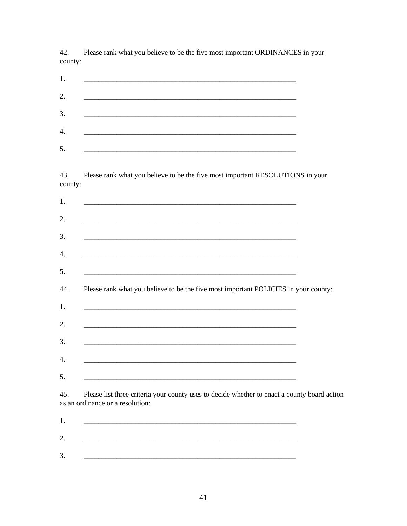42. Please rank what you believe to be the five most important ORDINANCES in your county:

| 2. |  |
|----|--|
| 3. |  |
|    |  |
|    |  |

Please rank what you believe to be the five most important RESOLUTIONS in your 43. county:

| <u> 1989 - Johann Stoff, deutscher Stoff, der Stoff, der Stoff, der Stoff, der Stoff, der Stoff, der Stoff, der S</u> |                                                                                     |  |  |
|-----------------------------------------------------------------------------------------------------------------------|-------------------------------------------------------------------------------------|--|--|
| <u> 2000 - Jan Barat, prima de la contrada de la contrada de la contrada de la contrada de la contrada de la con</u>  |                                                                                     |  |  |
| <u> 1989 - Johann Stoff, deutscher Stoff, der Stoff, der Stoff, der Stoff, der Stoff, der Stoff, der Stoff, der S</u> |                                                                                     |  |  |
| <u> 1980 - Jan Barbara, martxa al III-lea (h. 1980).</u>                                                              |                                                                                     |  |  |
|                                                                                                                       | Please rank what you believe to be the five most important POLICIES in your county: |  |  |
|                                                                                                                       |                                                                                     |  |  |
|                                                                                                                       |                                                                                     |  |  |
|                                                                                                                       |                                                                                     |  |  |
|                                                                                                                       |                                                                                     |  |  |
|                                                                                                                       |                                                                                     |  |  |
|                                                                                                                       |                                                                                     |  |  |
| <u> 1989 - Johann Barbara, martxa alemaniar argamento este alemaniar alemaniar alemaniar alemaniar alemaniar al</u>   |                                                                                     |  |  |

as an ordinance or a resolution: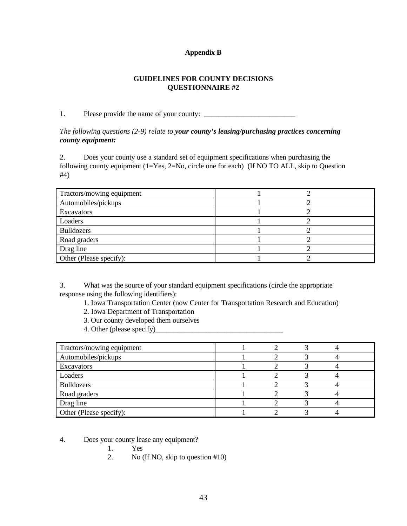# **Appendix B**

# **GUIDELINES FOR COUNTY DECISIONS QUESTIONNAIRE #2**

1. Please provide the name of your county:

*The following questions (2-9) relate to your county's leasing/purchasing practices concerning county equipment:*

2. Does your county use a standard set of equipment specifications when purchasing the following county equipment (1=Yes, 2=No, circle one for each) (If NO TO ALL, skip to Question #4)

| Tractors/mowing equipment |  |  |
|---------------------------|--|--|
| Automobiles/pickups       |  |  |
| Excavators                |  |  |
| Loaders                   |  |  |
| <b>Bulldozers</b>         |  |  |
| Road graders              |  |  |
| Drag line                 |  |  |
| Other (Please specify):   |  |  |

3. What was the source of your standard equipment specifications (circle the appropriate response using the following identifiers):

- 1. Iowa Transportation Center (now Center for Transportation Research and Education)
- 2. Iowa Department of Transportation
- 3. Our county developed them ourselves
- 4. Other (please specify)

| Tractors/mowing equipment |  |  |  |
|---------------------------|--|--|--|
| Automobiles/pickups       |  |  |  |
| Excavators                |  |  |  |
| Loaders                   |  |  |  |
| <b>Bulldozers</b>         |  |  |  |
| Road graders              |  |  |  |
| Drag line                 |  |  |  |
| Other (Please specify):   |  |  |  |

- 4. Does your county lease any equipment?
	- 1. Yes
	- 2. No (If NO, skip to question #10)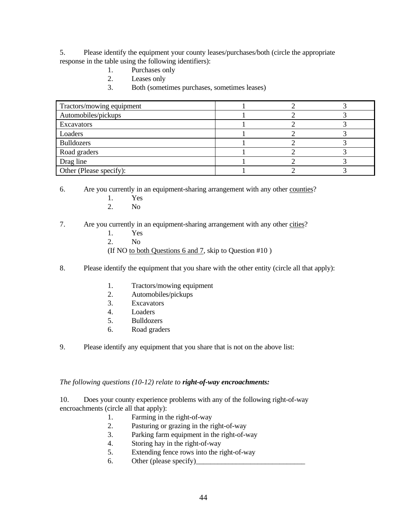5. Please identify the equipment your county leases/purchases/both (circle the appropriate response in the table using the following identifiers):

- 1. Purchases only
- 2. Leases only
- 3. Both (sometimes purchases, sometimes leases)

| Tractors/mowing equipment |  |  |
|---------------------------|--|--|
| Automobiles/pickups       |  |  |
| Excavators                |  |  |
| Loaders                   |  |  |
| <b>Bulldozers</b>         |  |  |
| Road graders              |  |  |
| Drag line                 |  |  |
| Other (Please specify):   |  |  |

6. Are you currently in an equipment-sharing arrangement with any other counties?

- 1. Yes
- 2. No
- 7. Are you currently in an equipment-sharing arrangement with any other cities?
	- 1. Yes
	- 2. No
	- (If NO to both Questions  $6$  and  $7$ , skip to Question  $#10$ )
- 8. Please identify the equipment that you share with the other entity (circle all that apply):
	- 1. Tractors/mowing equipment
	- 2. Automobiles/pickups
	- 3. Excavators
	- 4. Loaders
	- 5. Bulldozers
	- 6. Road graders
- 9. Please identify any equipment that you share that is not on the above list:

### *The following questions (10-12) relate to right-of-way encroachments:*

10. Does your county experience problems with any of the following right-of-way encroachments (circle all that apply):

- 1. Farming in the right-of-way
- 2. Pasturing or grazing in the right-of-way
- 3. Parking farm equipment in the right-of-way
- 4. Storing hay in the right-of-way
- 5. Extending fence rows into the right-of-way
- 6. Other (please specify)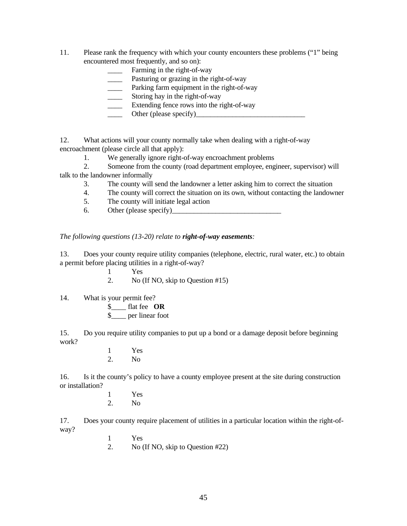- 11. Please rank the frequency with which your county encounters these problems ("1" being encountered most frequently, and so on):
	- Farming in the right-of-way
	- Pasturing or grazing in the right-of-way
	- Parking farm equipment in the right-of-way
	- Storing hay in the right-of-way
	- Extending fence rows into the right-of-way
	- Other (please specify)

12. What actions will your county normally take when dealing with a right-of-way encroachment (please circle all that apply):

1. We generally ignore right-of-way encroachment problems

2. Someone from the county (road department employee, engineer, supervisor) will talk to the landowner informally

- 3. The county will send the landowner a letter asking him to correct the situation
- 4. The county will correct the situation on its own, without contacting the landowner
- 5. The county will initiate legal action
- 6. Other (please specify)

*The following questions (13-20) relate to right-of-way easements:*

13. Does your county require utility companies (telephone, electric, rural water, etc.) to obtain a permit before placing utilities in a right-of-way?

- 1 Yes
- 2. No (If NO, skip to Question #15)
- 14. What is your permit fee?
	- \$\_\_\_\_ flat fee **OR**
	- \$\_\_\_\_ per linear foot

15. Do you require utility companies to put up a bond or a damage deposit before beginning work?

> $\frac{1}{2}$  Yes N<sub>o</sub>

16. Is it the county's policy to have a county employee present at the site during construction or installation?

> $\frac{1}{2}$  Yes N<sub>o</sub>

17. Does your county require placement of utilities in a particular location within the right-ofway?

- 1 Yes
- 2. No (If NO, skip to Question #22)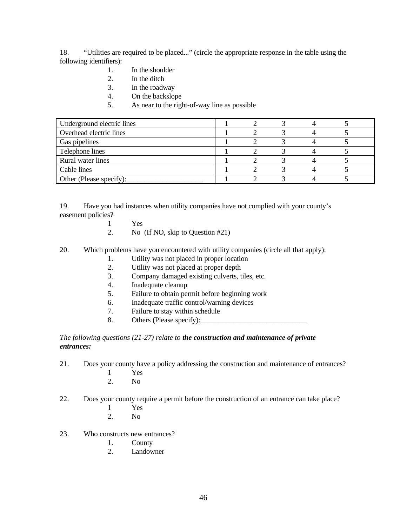18. "Utilities are required to be placed..." (circle the appropriate response in the table using the following identifiers):

- 1. In the shoulder
- 2. In the ditch
- 3. In the roadway
- 4. On the backslope
- 5. As near to the right-of-way line as possible

| Underground electric lines |  |  |  |
|----------------------------|--|--|--|
| Overhead electric lines    |  |  |  |
| Gas pipelines              |  |  |  |
| Telephone lines            |  |  |  |
| Rural water lines          |  |  |  |
| Cable lines                |  |  |  |
| Other (Please specify):    |  |  |  |

19. Have you had instances when utility companies have not complied with your county's easement policies?

- 1 Yes
- 2. No (If NO, skip to Question #21)
- 20. Which problems have you encountered with utility companies (circle all that apply):
	- 1. Utility was not placed in proper location
	- 2. Utility was not placed at proper depth
	- 3. Company damaged existing culverts, tiles, etc.
	- 4. Inadequate cleanup
	- 5. Failure to obtain permit before beginning work
	- 6. Inadequate traffic control/warning devices
	- 7. Failure to stay within schedule
	- 8. Others (Please specify):

*The following questions (21-27) relate to the construction and maintenance of private entrances:*

- 21. Does your county have a policy addressing the construction and maintenance of entrances?
	- 1 Yes
	- 2. No

22. Does your county require a permit before the construction of an entrance can take place?

- 1 Yes
- 2. No
- 23. Who constructs new entrances?
	- 1. County
	- 2. Landowner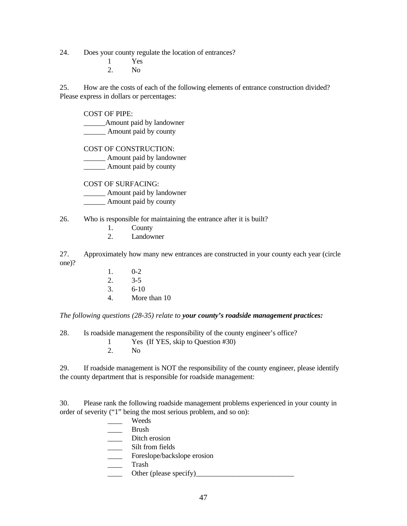24. Does your county regulate the location of entrances?

- 1 Yes 2. No
- 

25. How are the costs of each of the following elements of entrance construction divided? Please express in dollars or percentages:

# COST OF PIPE:

\_\_\_\_\_\_Amount paid by landowner \_\_\_\_\_\_ Amount paid by county

COST OF CONSTRUCTION:

\_\_\_\_\_\_ Amount paid by landowner

\_\_\_\_\_\_ Amount paid by county

COST OF SURFACING:

\_\_\_\_\_\_ Amount paid by landowner

\_\_\_\_\_\_ Amount paid by county

# 26. Who is responsible for maintaining the entrance after it is built?

- 1. County
- 2. Landowner

27. Approximately how many new entrances are constructed in your county each year (circle one)?

- 1. 0-2 2. 3-5 3. 6-10
- 4. More than 10

*The following questions (28-35) relate to your county's roadside management practices:*

28. Is roadside management the responsibility of the county engineer's office?

1 Yes (If YES, skip to Question #30)

2. No

29. If roadside management is NOT the responsibility of the county engineer, please identify the county department that is responsible for roadside management:

30. Please rank the following roadside management problems experienced in your county in order of severity ("1" being the most serious problem, and so on):

> \_\_\_\_ Weeds \_\_\_\_ Brush \_\_\_\_ Ditch erosion Silt from fields Foreslope/backslope erosion \_\_\_\_ Trash \_\_\_\_ Other (please specify)\_\_\_\_\_\_\_\_\_\_\_\_\_\_\_\_\_\_\_\_\_\_\_\_\_\_\_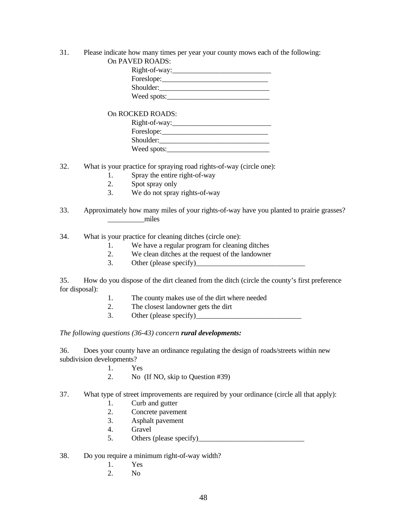# 31. Please indicate how many times per year your county mows each of the following:

| On PAVED ROADS: |  |
|-----------------|--|
| Right-of-way:   |  |
| Foreslope:      |  |
| Shoulder:       |  |
| Weed spots:     |  |
|                 |  |

On ROCKED ROADS: Right-of-way:\_\_\_\_\_\_\_\_\_\_\_\_\_\_\_\_\_\_\_\_\_\_\_\_\_\_\_ Foreslope: Shoulder:\_\_\_\_\_\_\_\_\_\_\_\_\_\_\_\_\_\_\_\_\_\_\_\_\_\_\_\_\_\_ Weed spots:\_\_\_\_\_\_\_\_\_\_\_\_\_\_\_\_\_\_\_\_\_\_\_\_\_\_\_\_

32. What is your practice for spraying road rights-of-way (circle one):

- 1. Spray the entire right-of-way
- 2. Spot spray only
- 3. We do not spray rights-of-way
- 33. Approximately how many miles of your rights-of-way have you planted to prairie grasses? \_\_\_\_\_\_\_\_\_\_miles

34. What is your practice for cleaning ditches (circle one):

- 1. We have a regular program for cleaning ditches
- 2. We clean ditches at the request of the landowner
- 3. Other (please specify)

35. How do you dispose of the dirt cleaned from the ditch (circle the county's first preference for disposal):

- 1. The county makes use of the dirt where needed
- 2. The closest landowner gets the dirt
- 3. Other (please specify)

*The following questions (36-43) concern rural developments:*

36. Does your county have an ordinance regulating the design of roads/streets within new subdivision developments?

- 1. Yes
- 2. No (If NO, skip to Question #39)
- 37. What type of street improvements are required by your ordinance (circle all that apply):
	- 1. Curb and gutter
	- 2. Concrete pavement
	- 3. Asphalt pavement
	- 4. Gravel
	- 5. Others (please specify)
- 38. Do you require a minimum right-of-way width?
	- 1. Yes
	- 2. No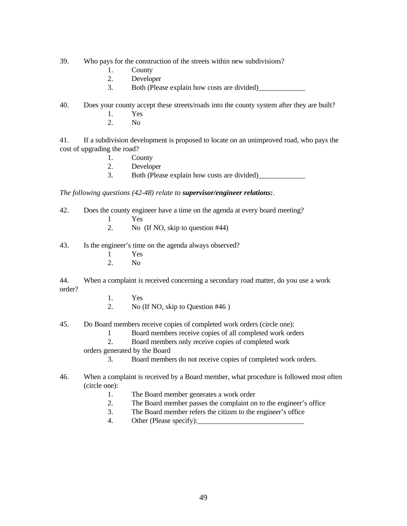- 39. Who pays for the construction of the streets within new subdivisions?
	- 1. County
	- 2. Developer
	- 3. Both (Please explain how costs are divided)
- 40. Does your county accept these streets/roads into the county system after they are built?
	- 1. Yes
	- 2. No

41. If a subdivision development is proposed to locate on an unimproved road, who pays the cost of upgrading the road?

- 1. County
- 2. Developer
- 3. Both (Please explain how costs are divided)

*The following questions (42-48) relate to supervisor/engineer relations:.*

- 42. Does the county engineer have a time on the agenda at every board meeting?
	- 1 Yes
	- 2. No (If NO, skip to question #44)

43. Is the engineer's time on the agenda always observed?

- 1 Yes
- 2. No

44. When a complaint is received concerning a secondary road matter, do you use a work order?

- 1. Yes
- 2. No (If NO, skip to Question #46 )
- 45. Do Board members receive copies of completed work orders (circle one):
	- 1 Board members receive copies of all completed work orders
	- 2. Board members only receive copies of completed work
	- orders generated by the Board
		- 3. Board members do not receive copies of completed work orders.

# 46. When a complaint is received by a Board member, what procedure is followed most often (circle one):

- 1. The Board member generates a work order
- 2. The Board member passes the complaint on to the engineer's office
- 3. The Board member refers the citizen to the engineer's office
- 4. Other (Please specify):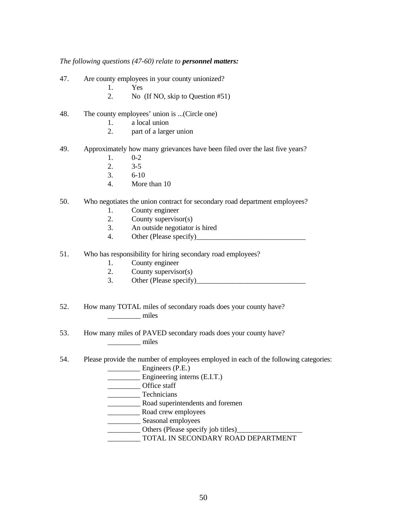### *The following questions (47-60) relate to personnel matters:*

- 47. Are county employees in your county unionized?
	- 1. Yes
	- 2. No (If NO, skip to Question #51)
- 48. The county employees' union is ...(Circle one)
	- 1. a local union
	- 2. part of a larger union
- 49. Approximately how many grievances have been filed over the last five years?
	- 1. 0-2
	- 2. 3-5
	- 3. 6-10
	- 4. More than 10

# 50. Who negotiates the union contract for secondary road department employees?

- 1. County engineer
- 2. County supervisor(s)
- 3. An outside negotiator is hired
- 4. Other (Please specify)\_\_\_\_\_\_\_\_\_\_\_\_\_\_\_\_\_\_\_\_\_\_\_\_\_\_\_\_\_\_
- 51. Who has responsibility for hiring secondary road employees?
	- 1. County engineer
	- 2. County supervisor(s)
	- 3. Other (Please specify)
- 52. How many TOTAL miles of secondary roads does your county have? \_\_\_\_\_\_\_\_\_ miles
- 53. How many miles of PAVED secondary roads does your county have? miles
- 54. Please provide the number of employees employed in each of the following categories:
	- Engineers (P.E.)
	- Engineering interns (E.I.T.)
	- \_\_\_\_\_\_\_\_\_\_\_\_ Office staff
	- Technicians
	- \_\_\_\_\_\_\_\_\_ Road superintendents and foremen
	- \_\_\_\_\_\_\_\_\_ Road crew employees
	- \_\_\_\_\_\_\_\_\_ Seasonal employees
	- \_\_\_\_\_\_\_\_\_ Others (Please specify job titles)\_\_\_\_\_\_\_\_\_\_\_\_\_\_\_\_\_\_
	- \_\_\_\_\_\_\_\_\_ TOTAL IN SECONDARY ROAD DEPARTMENT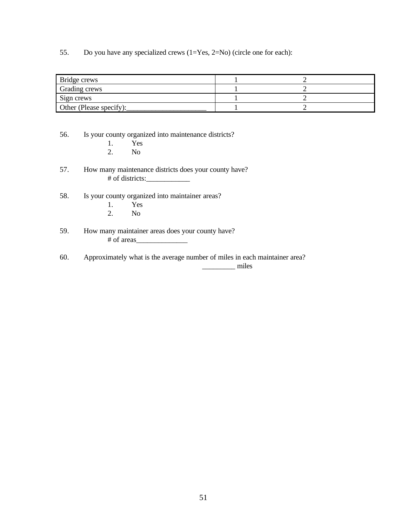55. Do you have any specialized crews (1=Yes, 2=No) (circle one for each):

| Bridge crews            |  |
|-------------------------|--|
| Grading crews           |  |
| Sign crews              |  |
| Other (Please specify): |  |

56. Is your county organized into maintenance districts?

- 1. Yes<br>2. No
- 2. No
- 57. How many maintenance districts does your county have? # of districts:\_\_\_\_\_\_\_\_\_\_\_\_
- 58. Is your county organized into maintainer areas?
	- 1. Yes<br>2. No
		- 2. No
- 59. How many maintainer areas does your county have?<br># of areas  $\mathbb{R}^n$  of areas  $\mathbb{R}^n$
- 60. Approximately what is the average number of miles in each maintainer area? \_\_\_\_\_\_\_\_\_ miles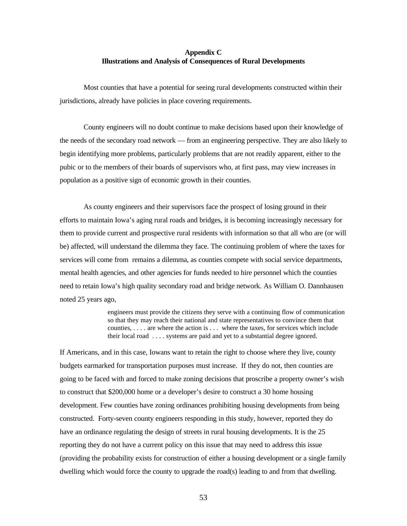# **Appendix C Illustrations and Analysis of Consequences of Rural Developments**

Most counties that have a potential for seeing rural developments constructed within their jurisdictions, already have policies in place covering requirements.

County engineers will no doubt continue to make decisions based upon their knowledge of the needs of the secondary road network — from an engineering perspective. They are also likely to begin identifying more problems, particularly problems that are not readily apparent, either to the pubic or to the members of their boards of supervisors who, at first pass, may view increases in population as a positive sign of economic growth in their counties.

As county engineers and their supervisors face the prospect of losing ground in their efforts to maintain Iowa's aging rural roads and bridges, it is becoming increasingly necessary for them to provide current and prospective rural residents with information so that all who are (or will be) affected, will understand the dilemma they face. The continuing problem of where the taxes for services will come from remains a dilemma, as counties compete with social service departments, mental health agencies, and other agencies for funds needed to hire personnel which the counties need to retain Iowa's high quality secondary road and bridge network. As William O. Dannhausen noted 25 years ago,

> engineers must provide the citizens they serve with a continuing flow of communication so that they may reach their national and state representatives to convince them that counties, . . . . are where the action is . . . where the taxes, for services which include their local road . . . . systems are paid and yet to a substantial degree ignored.

If Americans, and in this case, Iowans want to retain the right to choose where they live, county budgets earmarked for transportation purposes must increase. If they do not, then counties are going to be faced with and forced to make zoning decisions that proscribe a property owner's wish to construct that \$200,000 home or a developer's desire to construct a 30 home housing development. Few counties have zoning ordinances prohibiting housing developments from being constructed. Forty-seven county engineers responding in this study, however, reported they do have an ordinance regulating the design of streets in rural housing developments. It is the 25 reporting they do not have a current policy on this issue that may need to address this issue (providing the probability exists for construction of either a housing development or a single family dwelling which would force the county to upgrade the road(s) leading to and from that dwelling.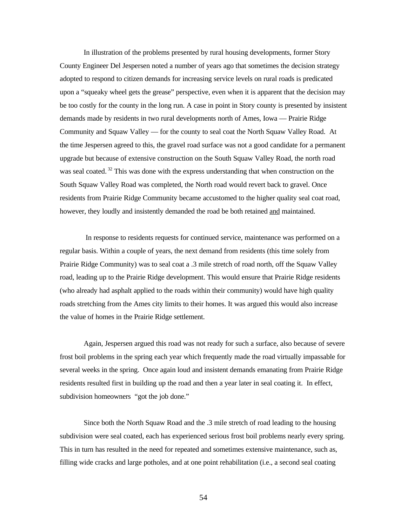In illustration of the problems presented by rural housing developments, former Story County Engineer Del Jespersen noted a number of years ago that sometimes the decision strategy adopted to respond to citizen demands for increasing service levels on rural roads is predicated upon a "squeaky wheel gets the grease" perspective, even when it is apparent that the decision may be too costly for the county in the long run. A case in point in Story county is presented by insistent demands made by residents in two rural developments north of Ames, Iowa — Prairie Ridge Community and Squaw Valley — for the county to seal coat the North Squaw Valley Road. At the time Jespersen agreed to this, the gravel road surface was not a good candidate for a permanent upgrade but because of extensive construction on the South Squaw Valley Road, the north road was seal coated.<sup>32</sup> This was done with the express understanding that when construction on the South Squaw Valley Road was completed, the North road would revert back to gravel. Once residents from Prairie Ridge Community became accustomed to the higher quality seal coat road, however, they loudly and insistently demanded the road be both retained and maintained.

 In response to residents requests for continued service, maintenance was performed on a regular basis. Within a couple of years, the next demand from residents (this time solely from Prairie Ridge Community) was to seal coat a .3 mile stretch of road north, off the Squaw Valley road, leading up to the Prairie Ridge development. This would ensure that Prairie Ridge residents (who already had asphalt applied to the roads within their community) would have high quality roads stretching from the Ames city limits to their homes. It was argued this would also increase the value of homes in the Prairie Ridge settlement.

Again, Jespersen argued this road was not ready for such a surface, also because of severe frost boil problems in the spring each year which frequently made the road virtually impassable for several weeks in the spring. Once again loud and insistent demands emanating from Prairie Ridge residents resulted first in building up the road and then a year later in seal coating it. In effect, subdivision homeowners "got the job done."

Since both the North Squaw Road and the .3 mile stretch of road leading to the housing subdivision were seal coated, each has experienced serious frost boil problems nearly every spring. This in turn has resulted in the need for repeated and sometimes extensive maintenance, such as, filling wide cracks and large potholes, and at one point rehabilitation (i.e., a second seal coating

54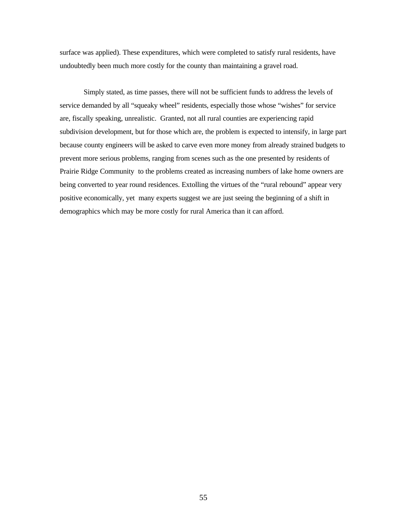surface was applied). These expenditures, which were completed to satisfy rural residents, have undoubtedly been much more costly for the county than maintaining a gravel road.

Simply stated, as time passes, there will not be sufficient funds to address the levels of service demanded by all "squeaky wheel" residents, especially those whose "wishes" for service are, fiscally speaking, unrealistic. Granted, not all rural counties are experiencing rapid subdivision development, but for those which are, the problem is expected to intensify, in large part because county engineers will be asked to carve even more money from already strained budgets to prevent more serious problems, ranging from scenes such as the one presented by residents of Prairie Ridge Community to the problems created as increasing numbers of lake home owners are being converted to year round residences. Extolling the virtues of the "rural rebound" appear very positive economically, yet many experts suggest we are just seeing the beginning of a shift in demographics which may be more costly for rural America than it can afford.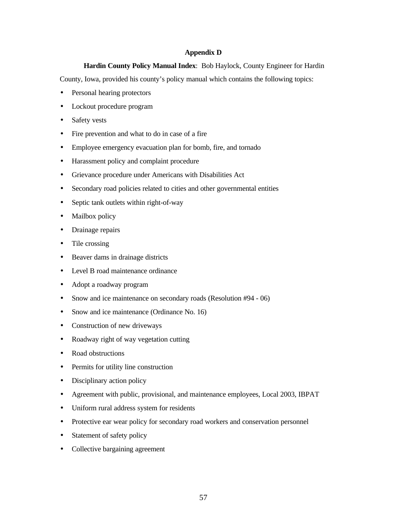# **Appendix D**

**Hardin County Policy Manual Index**: Bob Haylock, County Engineer for Hardin

County, Iowa, provided his county's policy manual which contains the following topics:

- Personal hearing protectors
- Lockout procedure program
- Safety vests
- Fire prevention and what to do in case of a fire
- Employee emergency evacuation plan for bomb, fire, and tornado
- Harassment policy and complaint procedure
- Grievance procedure under Americans with Disabilities Act
- Secondary road policies related to cities and other governmental entities
- Septic tank outlets within right-of-way
- Mailbox policy
- Drainage repairs
- Tile crossing
- Beaver dams in drainage districts
- Level B road maintenance ordinance
- Adopt a roadway program
- Snow and ice maintenance on secondary roads (Resolution #94 06)
- Snow and ice maintenance (Ordinance No. 16)
- Construction of new driveways
- Roadway right of way vegetation cutting
- Road obstructions
- Permits for utility line construction
- Disciplinary action policy
- Agreement with public, provisional, and maintenance employees, Local 2003, IBPAT
- Uniform rural address system for residents
- Protective ear wear policy for secondary road workers and conservation personnel
- Statement of safety policy
- Collective bargaining agreement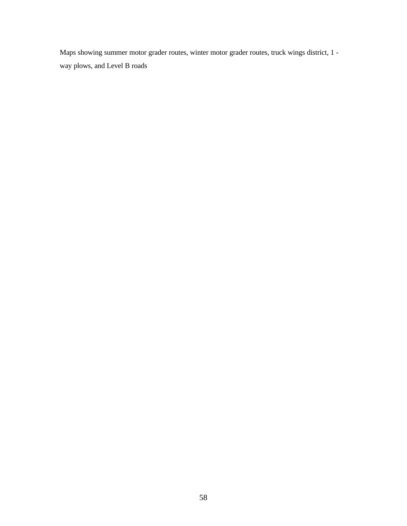Maps showing summer motor grader routes, winter motor grader routes, truck wings district, 1 way plows, and Level B roads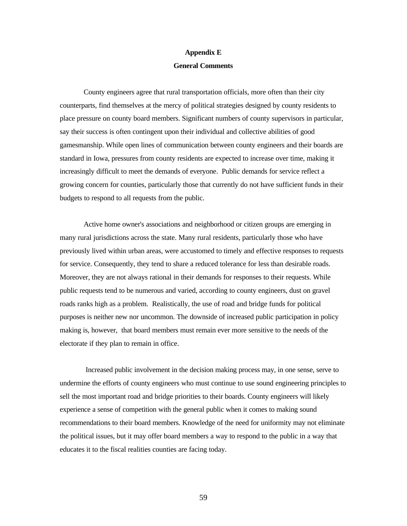#### **Appendix E**

### **General Comments**

County engineers agree that rural transportation officials, more often than their city counterparts, find themselves at the mercy of political strategies designed by county residents to place pressure on county board members. Significant numbers of county supervisors in particular, say their success is often contingent upon their individual and collective abilities of good gamesmanship. While open lines of communication between county engineers and their boards are standard in Iowa, pressures from county residents are expected to increase over time, making it increasingly difficult to meet the demands of everyone. Public demands for service reflect a growing concern for counties, particularly those that currently do not have sufficient funds in their budgets to respond to all requests from the public.

Active home owner's associations and neighborhood or citizen groups are emerging in many rural jurisdictions across the state. Many rural residents, particularly those who have previously lived within urban areas, were accustomed to timely and effective responses to requests for service. Consequently, they tend to share a reduced tolerance for less than desirable roads. Moreover, they are not always rational in their demands for responses to their requests. While public requests tend to be numerous and varied, according to county engineers, dust on gravel roads ranks high as a problem. Realistically, the use of road and bridge funds for political purposes is neither new nor uncommon. The downside of increased public participation in policy making is, however, that board members must remain ever more sensitive to the needs of the electorate if they plan to remain in office.

 Increased public involvement in the decision making process may, in one sense, serve to undermine the efforts of county engineers who must continue to use sound engineering principles to sell the most important road and bridge priorities to their boards. County engineers will likely experience a sense of competition with the general public when it comes to making sound recommendations to their board members. Knowledge of the need for uniformity may not eliminate the political issues, but it may offer board members a way to respond to the public in a way that educates it to the fiscal realities counties are facing today.

59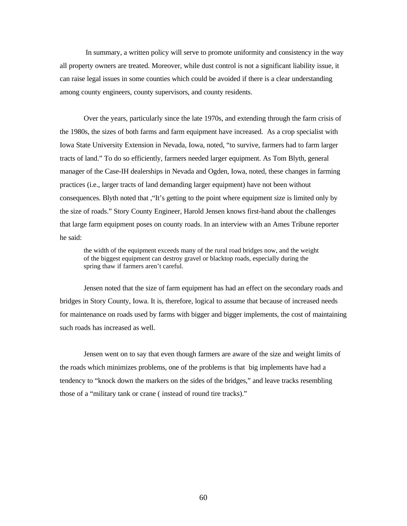In summary, a written policy will serve to promote uniformity and consistency in the way all property owners are treated. Moreover, while dust control is not a significant liability issue, it can raise legal issues in some counties which could be avoided if there is a clear understanding among county engineers, county supervisors, and county residents.

Over the years, particularly since the late 1970s, and extending through the farm crisis of the 1980s, the sizes of both farms and farm equipment have increased. As a crop specialist with Iowa State University Extension in Nevada, Iowa, noted, "to survive, farmers had to farm larger tracts of land." To do so efficiently, farmers needed larger equipment. As Tom Blyth, general manager of the Case-IH dealerships in Nevada and Ogden, Iowa, noted, these changes in farming practices (i.e., larger tracts of land demanding larger equipment) have not been without consequences. Blyth noted that ,"It's getting to the point where equipment size is limited only by the size of roads." Story County Engineer, Harold Jensen knows first-hand about the challenges that large farm equipment poses on county roads. In an interview with an Ames Tribune reporter he said:

the width of the equipment exceeds many of the rural road bridges now, and the weight of the biggest equipment can destroy gravel or blacktop roads, especially during the spring thaw if farmers aren't careful.

Jensen noted that the size of farm equipment has had an effect on the secondary roads and bridges in Story County, Iowa. It is, therefore, logical to assume that because of increased needs for maintenance on roads used by farms with bigger and bigger implements, the cost of maintaining such roads has increased as well.

Jensen went on to say that even though farmers are aware of the size and weight limits of the roads which minimizes problems, one of the problems is that big implements have had a tendency to "knock down the markers on the sides of the bridges," and leave tracks resembling those of a "military tank or crane ( instead of round tire tracks)."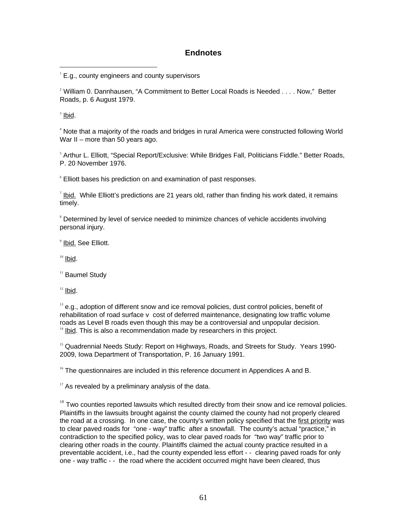## **Endnotes**

 $2$  William 0. Dannhausen, "A Commitment to Better Local Roads is Needed  $\ldots$  Now," Better Roads, p. 6 August 1979.

<sup>3</sup> lbid.

<sup>4</sup> Note that a majority of the roads and bridges in rural America were constructed following World War II – more than 50 years ago.

<sup>5</sup> Arthur L. Elliott, "Special Report/Exclusive: While Bridges Fall, Politicians Fiddle." Better Roads, P. 20 November 1976.

6 Elliott bases his prediction on and examination of past responses.

 $^7$  lbid. While Elliott's predictions are 21 years old, rather than finding his work dated, it remains timely.

<sup>8</sup> Determined by level of service needed to minimize chances of vehicle accidents involving personal injury.

<sup>9</sup> Ibid. See Elliott.

 $10$  Ibid.

<sup>11</sup> Baumel Study

 $12$  lbid.

 $13$  e.g., adoption of different snow and ice removal policies, dust control policies, benefit of rehabilitation of road surface v cost of deferred maintenance, designating low traffic volume roads as Level B roads even though this may be a controversial and unpopular decision. <sup>14</sup> Ibid. This is also a recommendation made by researchers in this project.

<sup>15</sup> Quadrennial Needs Study: Report on Highways, Roads, and Streets for Study. Years 1990-2009, Iowa Department of Transportation, P. 16 January 1991.

 $16$  The questionnaires are included in this reference document in Appendices A and B.

 $17$  As revealed by a preliminary analysis of the data.

 $18$  Two counties reported lawsuits which resulted directly from their snow and ice removal policies. Plaintiffs in the lawsuits brought against the county claimed the county had not properly cleared the road at a crossing. In one case, the county's written policy specified that the first priority was to clear paved roads for "one - way" traffic after a snowfall. The county's actual "practice," in contradiction to the specified policy, was to clear paved roads for "two way" traffic prior to clearing other roads in the county. Plaintiffs claimed the actual county practice resulted in a preventable accident, i.e., had the county expended less effort - - clearing paved roads for only one - way traffic - - the road where the accident occurred might have been cleared, thus

 1 E.g., county engineers and county supervisors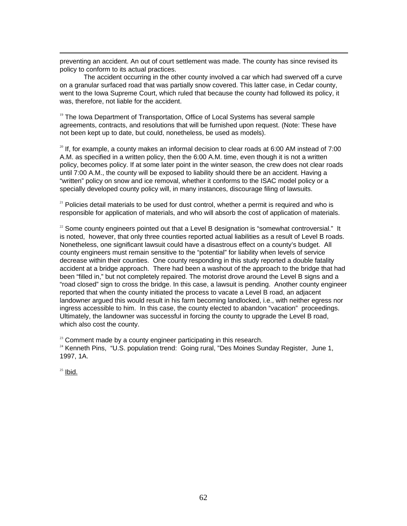preventing an accident. An out of court settlement was made. The county has since revised its policy to conform to its actual practices.

The accident occurring in the other county involved a car which had swerved off a curve on a granular surfaced road that was partially snow covered. This latter case, in Cedar county, went to the Iowa Supreme Court, which ruled that because the county had followed its policy, it was, therefore, not liable for the accident.

<sup>19</sup> The Iowa Department of Transportation, Office of Local Systems has several sample agreements, contracts, and resolutions that will be furnished upon request. (Note: These have not been kept up to date, but could, nonetheless, be used as models).

 $20$  If, for example, a county makes an informal decision to clear roads at 6:00 AM instead of 7:00 A.M. as specified in a written policy, then the 6:00 A.M. time, even though it is not a written policy, becomes policy. If at some later point in the winter season, the crew does not clear roads until 7:00 A.M., the county will be exposed to liability should there be an accident. Having a "written" policy on snow and ice removal, whether it conforms to the ISAC model policy or a specially developed county policy will, in many instances, discourage filing of lawsuits.

 $21$  Policies detail materials to be used for dust control, whether a permit is required and who is responsible for application of materials, and who will absorb the cost of application of materials.

 $22$  Some county engineers pointed out that a Level B designation is "somewhat controversial." It is noted, however, that only three counties reported actual liabilities as a result of Level B roads. Nonetheless, one significant lawsuit could have a disastrous effect on a county's budget. All county engineers must remain sensitive to the "potential" for liability when levels of service decrease within their counties. One county responding in this study reported a double fatality accident at a bridge approach. There had been a washout of the approach to the bridge that had been "filled in," but not completely repaired. The motorist drove around the Level B signs and a "road closed" sign to cross the bridge. In this case, a lawsuit is pending. Another county engineer reported that when the county initiated the process to vacate a Level B road, an adjacent landowner argued this would result in his farm becoming landlocked, i.e., with neither egress nor ingress accessible to him. In this case, the county elected to abandon "vacation" proceedings. Ultimately, the landowner was successful in forcing the county to upgrade the Level B road, which also cost the county.

 $23$  Comment made by a county engineer participating in this research.

<sup>24</sup> Kenneth Pins, "U.S. population trend: Going rural, "Des Moines Sunday Register, June 1, 1997, 1A.

 $25$  Ibid.

 $\overline{a}$